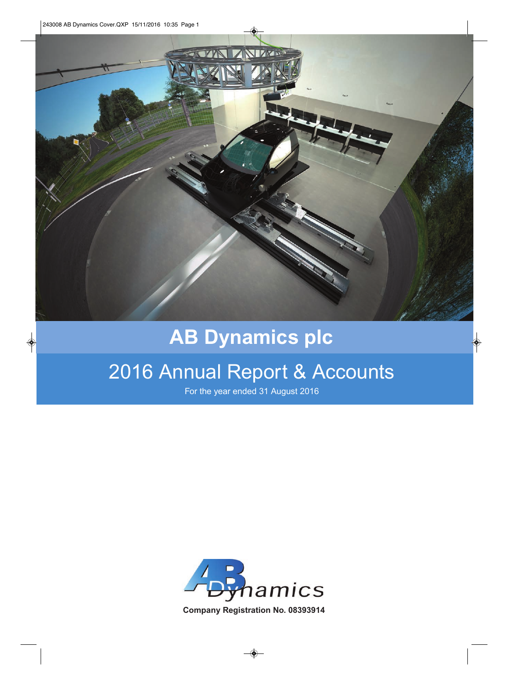

# **AB Dynamics plc**

# 2016 Annual Report & Accounts

For the year ended 31 August 2016



**Company Registration No. 08393914**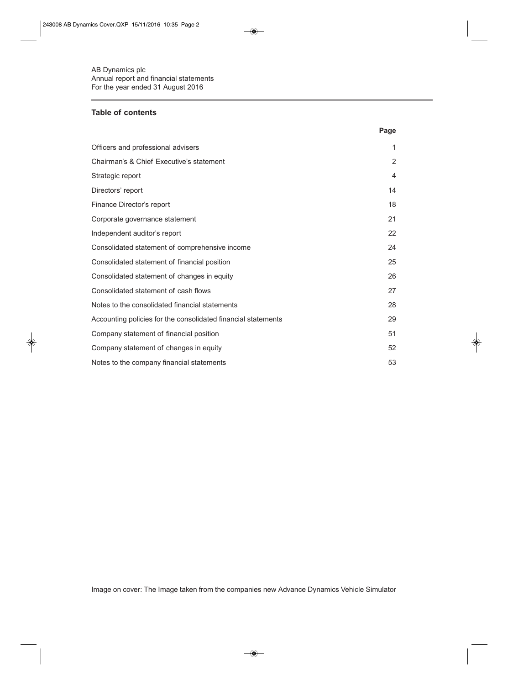# **Table of contents**

|                                                               | Page           |
|---------------------------------------------------------------|----------------|
| Officers and professional advisers                            | 1              |
| Chairman's & Chief Executive's statement                      | $\overline{2}$ |
| Strategic report                                              | 4              |
| Directors' report                                             | 14             |
| Finance Director's report                                     | 18             |
| Corporate governance statement                                | 21             |
| Independent auditor's report                                  | 22             |
| Consolidated statement of comprehensive income                | 24             |
| Consolidated statement of financial position                  | 25             |
| Consolidated statement of changes in equity                   | 26             |
| Consolidated statement of cash flows                          | 27             |
| Notes to the consolidated financial statements                | 28             |
| Accounting policies for the consolidated financial statements | 29             |
| Company statement of financial position                       | 51             |
| Company statement of changes in equity                        | 52             |
| Notes to the company financial statements                     | 53             |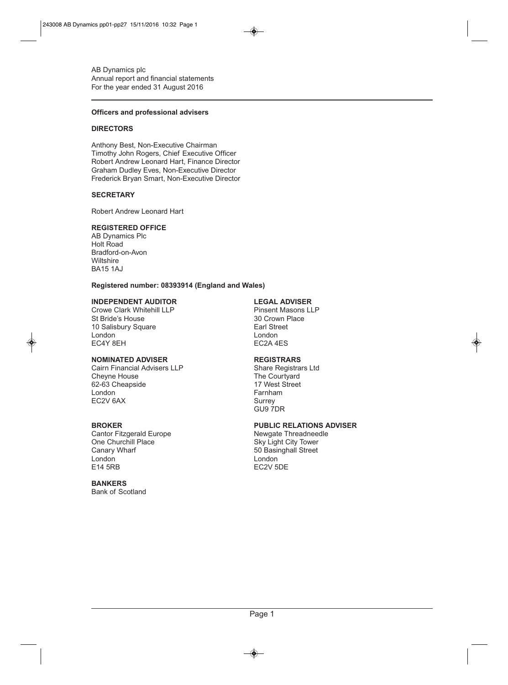#### **Officers and professional advisers**

## **DIRECTORS**

Anthony Best, Non-Executive Chairman Timothy John Rogers, Chief Executive Officer Robert Andrew Leonard Hart, Finance Director Graham Dudley Eves, Non-Executive Director Frederick Bryan Smart, Non-Executive Director

# **SECRETARY**

Robert Andrew Leonard Hart

#### **REGISTERED OFFICE**

AB Dynamics Plc Holt Road Bradford-on-Avon **Wiltshire** BA15 1AJ

#### **Registered number: 08393914 (England and Wales)**

# **INDEPENDENT AUDITOR LEGAL ADVISER**

Crowe Clark Whitehill LLP **Princess** Pinsent Masons LLP St Bride's House 30 Crown Place<br>
10 Salisbury Square<br>
10 Salisbury Square 10 Salisbury Square<br>
London<br>
London<br>
London London London London<br>EC4Y 8EH EC2A 4ES EC4Y 8EH

#### **NOMINATED ADVISER REGISTRARS**

Cairn Financial Advisers LLP Share Registrars Ltd Cheyne House **The Courtyard**<br>
62-63 Cheapside **The Courtyard**<br>
17 West Street 62-63 Cheapside London **Farnham** EC2V 6AX Surrey

Cantor Fitzgerald Europe Newgate Threadneedle One Churchill Place Sky Light City Tower Canary Wharf **60 Canary Wharf** 60 Basinghall Street London London E14 5RB EC2V 5DE

**BANKERS** Bank of Scotland

GU9 7DR

# **BROKER PUBLIC RELATIONS ADVISER**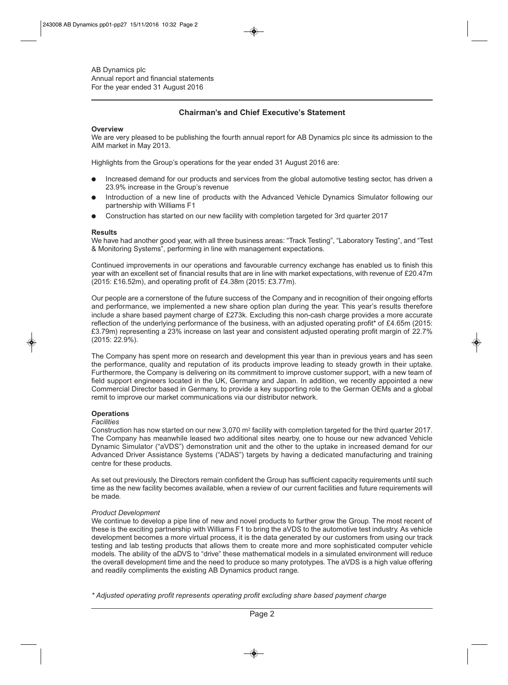# **Chairman's and Chief Executive's Statement**

#### **Overview**

We are very pleased to be publishing the fourth annual report for AB Dynamics plc since its admission to the AIM market in May 2013.

Highlights from the Group's operations for the year ended 31 August 2016 are:

- Increased demand for our products and services from the global automotive testing sector, has driven a 23.9% increase in the Group's revenue
- Introduction of a new line of products with the Advanced Vehicle Dynamics Simulator following our partnership with Williams F1
- Construction has started on our new facility with completion targeted for 3rd quarter 2017

#### **Results**

We have had another good year, with all three business areas: "Track Testing", "Laboratory Testing", and "Test & Monitoring Systems", performing in line with management expectations.

Continued improvements in our operations and favourable currency exchange has enabled us to finish this year with an excellent set of financial results that are in line with market expectations, with revenue of £20.47m (2015: £16.52m), and operating profit of £4.38m (2015: £3.77m).

Our people are a cornerstone of the future success of the Company and in recognition of their ongoing efforts and performance, we implemented a new share option plan during the year. This year's results therefore include a share based payment charge of £273k. Excluding this non-cash charge provides a more accurate reflection of the underlying performance of the business, with an adjusted operating profit\* of £4.65m (2015: £3.79m) representing a 23% increase on last year and consistent adjusted operating profit margin of 22.7% (2015: 22.9%).

The Company has spent more on research and development this year than in previous years and has seen the performance, quality and reputation of its products improve leading to steady growth in their uptake. Furthermore, the Company is delivering on its commitment to improve customer support, with a new team of field support engineers located in the UK, Germany and Japan. In addition, we recently appointed a new Commercial Director based in Germany, to provide a key supporting role to the German OEMs and a global remit to improve our market communications via our distributor network.

## **Operations**

#### *Facilities*

Construction has now started on our new 3,070 m<sup>2</sup> facility with completion targeted for the third quarter 2017. The Company has meanwhile leased two additional sites nearby, one to house our new advanced Vehicle Dynamic Simulator ("aVDS") demonstration unit and the other to the uptake in increased demand for our Advanced Driver Assistance Systems ("ADAS") targets by having a dedicated manufacturing and training centre for these products.

As set out previously, the Directors remain confident the Group has sufficient capacity requirements until such time as the new facility becomes available, when a review of our current facilities and future requirements will be made.

#### *Product Development*

We continue to develop a pipe line of new and novel products to further grow the Group. The most recent of these is the exciting partnership with Williams F1 to bring the aVDS to the automotive test industry. As vehicle development becomes a more virtual process, it is the data generated by our customers from using our track testing and lab testing products that allows them to create more and more sophisticated computer vehicle models. The ability of the aDVS to "drive" these mathematical models in a simulated environment will reduce the overall development time and the need to produce so many prototypes. The aVDS is a high value offering and readily compliments the existing AB Dynamics product range.

*\* Adjusted operating profit represents operating profit excluding share based payment charge*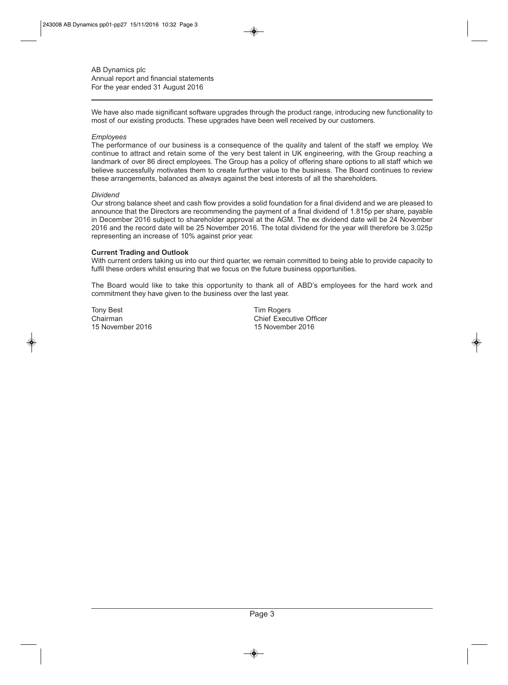We have also made significant software upgrades through the product range, introducing new functionality to most of our existing products. These upgrades have been well received by our customers.

#### *Employees*

The performance of our business is a consequence of the quality and talent of the staff we employ. We continue to attract and retain some of the very best talent in UK engineering, with the Group reaching a landmark of over 86 direct employees. The Group has a policy of offering share options to all staff which we believe successfully motivates them to create further value to the business. The Board continues to review these arrangements, balanced as always against the best interests of all the shareholders.

#### *Dividend*

Our strong balance sheet and cash flow provides a solid foundation for a final dividend and we are pleased to announce that the Directors are recommending the payment of a final dividend of 1.815p per share, payable in December 2016 subject to shareholder approval at the AGM. The ex dividend date will be 24 November 2016 and the record date will be 25 November 2016. The total dividend for the year will therefore be 3.025p representing an increase of 10% against prior year.

#### **Current Trading and Outlook**

With current orders taking us into our third quarter, we remain committed to being able to provide capacity to fulfil these orders whilst ensuring that we focus on the future business opportunities.

The Board would like to take this opportunity to thank all of ABD's employees for the hard work and commitment they have given to the business over the last year.

Tony Best **Tim Rogers** Tim Rogers 15 November 2016

Chairman Chairman Chairman Chief Executive Officer<br>15 November 2016 15 November 2016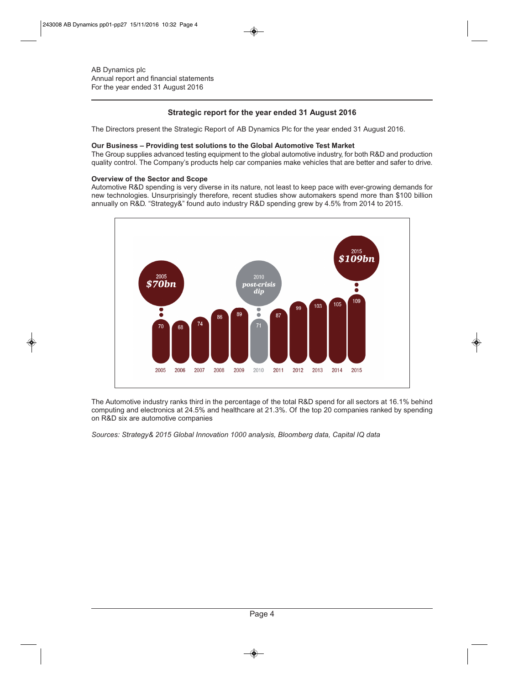# **Strategic report for the year ended 31 August 2016**

The Directors present the Strategic Report of AB Dynamics Plc for the year ended 31 August 2016.

#### **Our Business – Providing test solutions to the Global Automotive Test Market**

The Group supplies advanced testing equipment to the global automotive industry, for both R&D and production quality control. The Company's products help car companies make vehicles that are better and safer to drive.

#### **Overview of the Sector and Scope**

Automotive R&D spending is very diverse in its nature, not least to keep pace with ever-growing demands for new technologies. Unsurprisingly therefore, recent studies show automakers spend more than \$100 billion annually on R&D. "Strategy&" found auto industry R&D spending grew by 4.5% from 2014 to 2015.



The Automotive industry ranks third in the percentage of the total R&D spend for all sectors at 16.1% behind computing and electronics at 24.5% and healthcare at 21.3%. Of the top 20 companies ranked by spending on R&D six are automotive companies

*Sources: Strategy& 2015 Global Innovation 1000 analysis, Bloomberg data, Capital IQ data*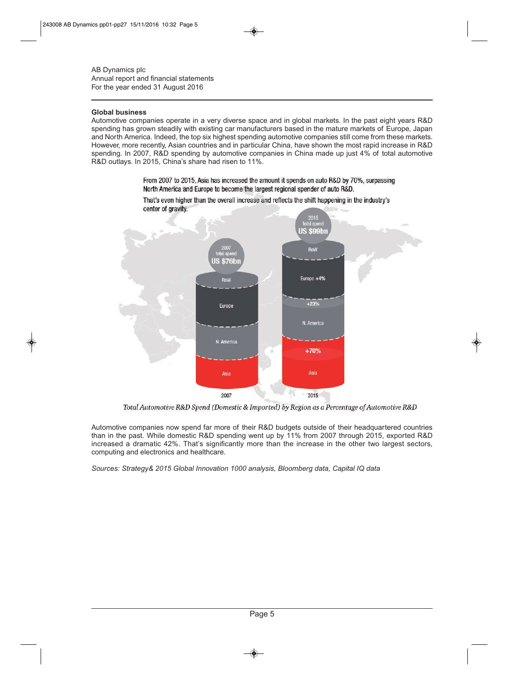#### **Global business**

Automotive companies operate in a very diverse space and in global markets. In the past eight years R&D spending has grown steadily with existing car manufacturers based in the mature markets of Europe, Japan and North America. Indeed, the top six highest spending automotive companies still come from these markets. However, more recently, Asian countries and in particular China, have shown the most rapid increase in R&D spending. In 2007, R&D spending by automotive companies in China made up just 4% of total automotive R&D outlays. In 2015, China's share had risen to 11%.

> From 2007 to 2015, Asia has increased the amount it spends on auto R&D by 70%, surpassing North America and Europe to become the largest regional spender of auto R&D.



That's even higher than the overall increase and reflects the shift happening in the industry's center of gravity.

Total Automotive R&D Spend (Domestic & Imported) by Region as a Percentage of Automotive R&D

Automotive companies now spend far more of their R&D budgets outside of their headquartered countries than in the past. While domestic R&D spending went up by 11% from 2007 through 2015, exported R&D increased a dramatic 42%. That's significantly more than the increase in the other two largest sectors, computing and electronics and healthcare.

*Sources: Strategy& 2015 Global Innovation 1000 analysis, Bloomberg data, Capital IQ data*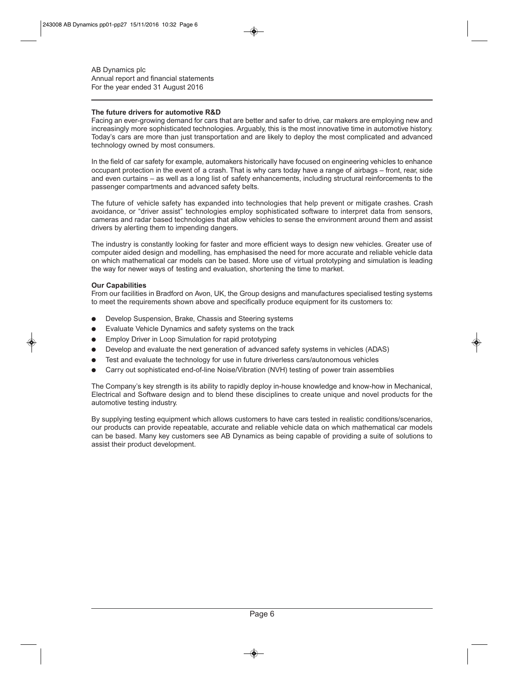#### **The future drivers for automotive R&D**

Facing an ever-growing demand for cars that are better and safer to drive, car makers are employing new and increasingly more sophisticated technologies. Arguably, this is the most innovative time in automotive history. Today's cars are more than just transportation and are likely to deploy the most complicated and advanced technology owned by most consumers.

In the field of car safety for example, automakers historically have focused on engineering vehicles to enhance occupant protection in the event of a crash. That is why cars today have a range of airbags – front, rear, side and even curtains – as well as a long list of safety enhancements, including structural reinforcements to the passenger compartments and advanced safety belts.

The future of vehicle safety has expanded into technologies that help prevent or mitigate crashes. Crash avoidance, or "driver assist" technologies employ sophisticated software to interpret data from sensors, cameras and radar based technologies that allow vehicles to sense the environment around them and assist drivers by alerting them to impending dangers.

The industry is constantly looking for faster and more efficient ways to design new vehicles. Greater use of computer aided design and modelling, has emphasised the need for more accurate and reliable vehicle data on which mathematical car models can be based. More use of virtual prototyping and simulation is leading the way for newer ways of testing and evaluation, shortening the time to market.

#### **Our Capabilities**

From our facilities in Bradford on Avon, UK, the Group designs and manufactures specialised testing systems to meet the requirements shown above and specifically produce equipment for its customers to:

- Develop Suspension, Brake, Chassis and Steering systems
- Evaluate Vehicle Dynamics and safety systems on the track
- Employ Driver in Loop Simulation for rapid prototyping
- Develop and evaluate the next generation of advanced safety systems in vehicles (ADAS)
- Test and evaluate the technology for use in future driverless cars/autonomous vehicles
- Carry out sophisticated end-of-line Noise/Vibration (NVH) testing of power train assemblies

The Company's key strength is its ability to rapidly deploy in-house knowledge and know-how in Mechanical, Electrical and Software design and to blend these disciplines to create unique and novel products for the automotive testing industry.

By supplying testing equipment which allows customers to have cars tested in realistic conditions/scenarios, our products can provide repeatable, accurate and reliable vehicle data on which mathematical car models can be based. Many key customers see AB Dynamics as being capable of providing a suite of solutions to assist their product development.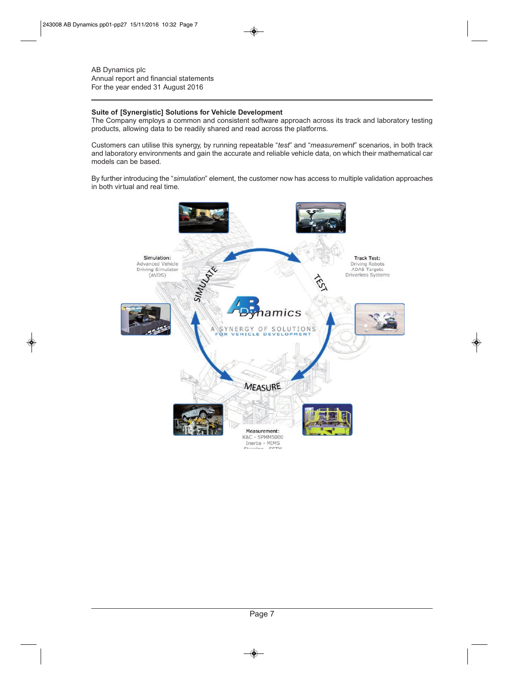# **Suite of [Synergistic] Solutions for Vehicle Development**

The Company employs a common and consistent software approach across its track and laboratory testing products, allowing data to be readily shared and read across the platforms.

Customers can utilise this synergy, by running repeatable "*test*" and "*measurement*" scenarios, in both track and laboratory environments and gain the accurate and reliable vehicle data, on which their mathematical car models can be based.

By further introducing the "*simulation*" element, the customer now has access to multiple validation approaches in both virtual and real time.

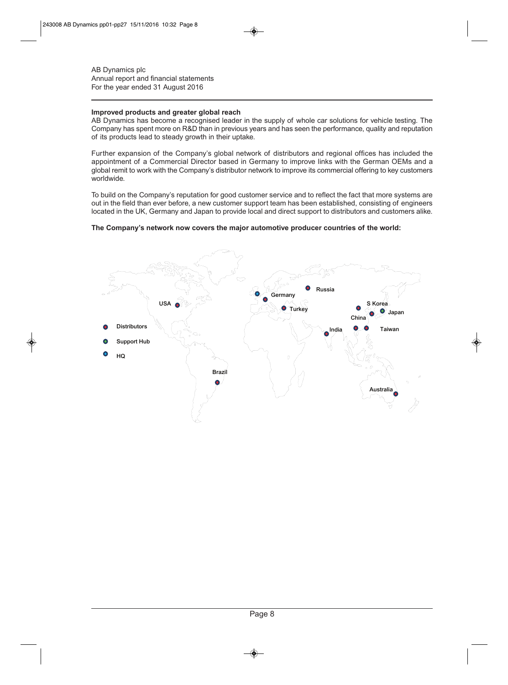# **Improved products and greater global reach**

AB Dynamics has become a recognised leader in the supply of whole car solutions for vehicle testing. The Company has spent more on R&D than in previous years and has seen the performance, quality and reputation of its products lead to steady growth in their uptake.

Further expansion of the Company's global network of distributors and regional offices has included the appointment of a Commercial Director based in Germany to improve links with the German OEMs and a global remit to work with the Company's distributor network to improve its commercial offering to key customers worldwide.

To build on the Company's reputation for good customer service and to reflect the fact that more systems are out in the field than ever before, a new customer support team has been established, consisting of engineers located in the UK, Germany and Japan to provide local and direct support to distributors and customers alike.

# **The Company's network now covers the major automotive producer countries of the world:**

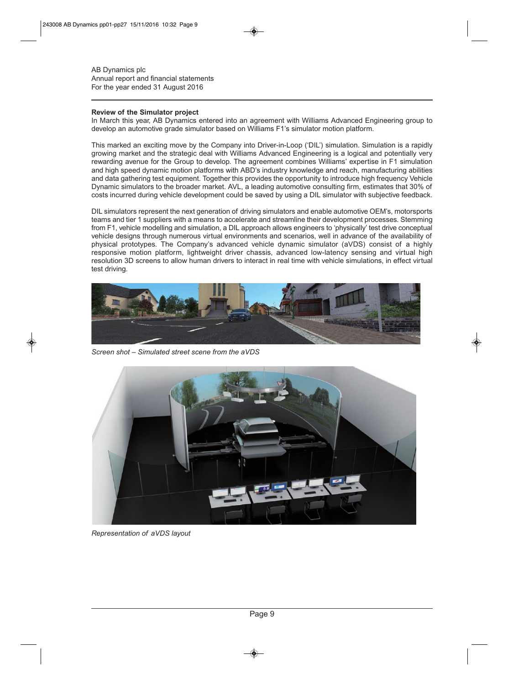#### **Review of the Simulator project**

In March this year, AB Dynamics entered into an agreement with Williams Advanced Engineering group to develop an automotive grade simulator based on Williams F1's simulator motion platform.

This marked an exciting move by the Company into Driver-in-Loop ('DIL') simulation. Simulation is a rapidly growing market and the strategic deal with Williams Advanced Engineering is a logical and potentially very rewarding avenue for the Group to develop. The agreement combines Williams' expertise in F1 simulation and high speed dynamic motion platforms with ABD's industry knowledge and reach, manufacturing abilities and data gathering test equipment. Together this provides the opportunity to introduce high frequency Vehicle Dynamic simulators to the broader market. AVL, a leading automotive consulting firm, estimates that 30% of costs incurred during vehicle development could be saved by using a DIL simulator with subjective feedback.

DIL simulators represent the next generation of driving simulators and enable automotive OEM's, motorsports teams and tier 1 suppliers with a means to accelerate and streamline their development processes. Stemming from F1, vehicle modelling and simulation, a DIL approach allows engineers to 'physically' test drive conceptual vehicle designs through numerous virtual environments and scenarios, well in advance of the availability of physical prototypes. The Company's advanced vehicle dynamic simulator (aVDS) consist of a highly responsive motion platform, lightweight driver chassis, advanced low-latency sensing and virtual high resolution 3D screens to allow human drivers to interact in real time with vehicle simulations, in effect virtual test driving.



*Screen shot – Simulated street scene from the aVDS*



*Representation of aVDS layout*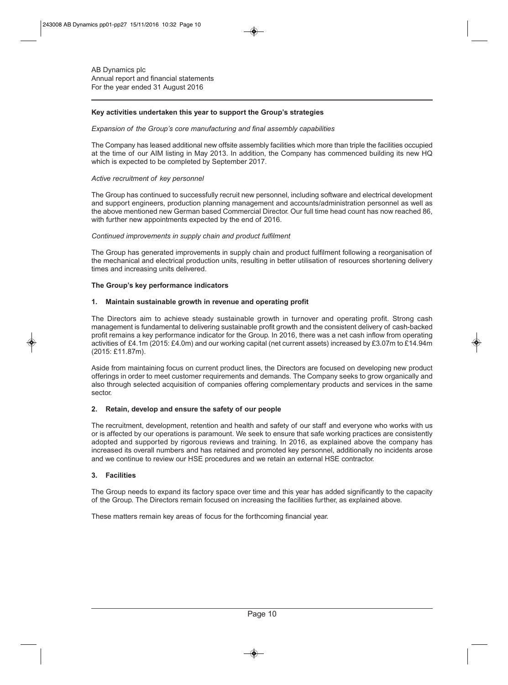## **Key activities undertaken this year to support the Group's strategies**

#### *Expansion of the Group's core manufacturing and final assembly capabilities*

The Company has leased additional new offsite assembly facilities which more than triple the facilities occupied at the time of our AIM listing in May 2013. In addition, the Company has commenced building its new HQ which is expected to be completed by September 2017.

#### *Active recruitment of key personnel*

The Group has continued to successfully recruit new personnel, including software and electrical development and support engineers, production planning management and accounts/administration personnel as well as the above mentioned new German based Commercial Director. Our full time head count has now reached 86, with further new appointments expected by the end of 2016.

#### *Continued improvements in supply chain and product fulfilment*

The Group has generated improvements in supply chain and product fulfilment following a reorganisation of the mechanical and electrical production units, resulting in better utilisation of resources shortening delivery times and increasing units delivered.

#### **The Group's key performance indicators**

#### **1. Maintain sustainable growth in revenue and operating profit**

The Directors aim to achieve steady sustainable growth in turnover and operating profit. Strong cash management is fundamental to delivering sustainable profit growth and the consistent delivery of cash-backed profit remains a key performance indicator for the Group. In 2016, there was a net cash inflow from operating activities of £4.1m (2015: £4.0m) and our working capital (net current assets) increased by £3.07m to £14.94m (2015: £11.87m).

Aside from maintaining focus on current product lines, the Directors are focused on developing new product offerings in order to meet customer requirements and demands. The Company seeks to grow organically and also through selected acquisition of companies offering complementary products and services in the same sector.

#### **2. Retain, develop and ensure the safety of our people**

The recruitment, development, retention and health and safety of our staff and everyone who works with us or is affected by our operations is paramount. We seek to ensure that safe working practices are consistently adopted and supported by rigorous reviews and training. In 2016, as explained above the company has increased its overall numbers and has retained and promoted key personnel, additionally no incidents arose and we continue to review our HSE procedures and we retain an external HSE contractor.

#### **3. Facilities**

The Group needs to expand its factory space over time and this year has added significantly to the capacity of the Group. The Directors remain focused on increasing the facilities further, as explained above.

These matters remain key areas of focus for the forthcoming financial year.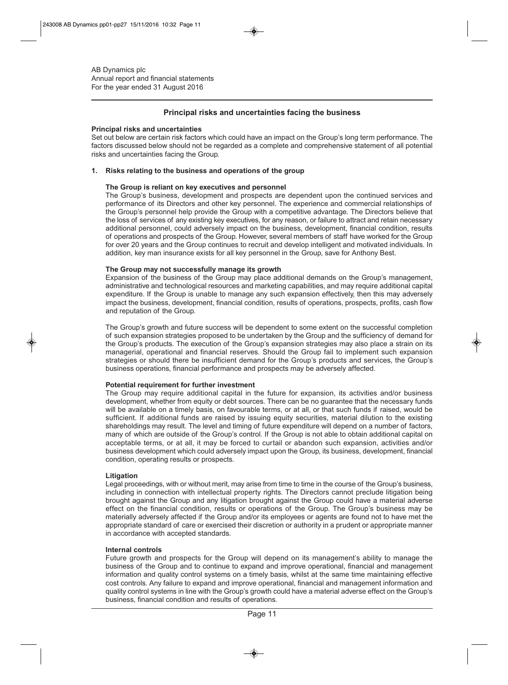# **Principal risks and uncertainties facing the business**

#### **Principal risks and uncertainties**

Set out below are certain risk factors which could have an impact on the Group's long term performance. The factors discussed below should not be regarded as a complete and comprehensive statement of all potential risks and uncertainties facing the Group.

#### **1. Risks relating to the business and operations of the group**

#### **The Group is reliant on key executives and personnel**

The Group's business, development and prospects are dependent upon the continued services and performance of its Directors and other key personnel. The experience and commercial relationships of the Group's personnel help provide the Group with a competitive advantage. The Directors believe that the loss of services of any existing key executives, for any reason, or failure to attract and retain necessary additional personnel, could adversely impact on the business, development, financial condition, results of operations and prospects of the Group. However, several members of staff have worked for the Group for over 20 years and the Group continues to recruit and develop intelligent and motivated individuals. In addition, key man insurance exists for all key personnel in the Group, save for Anthony Best.

#### **The Group may not successfully manage its growth**

Expansion of the business of the Group may place additional demands on the Group's management, administrative and technological resources and marketing capabilities, and may require additional capital expenditure. If the Group is unable to manage any such expansion effectively, then this may adversely impact the business, development, financial condition, results of operations, prospects, profits, cash flow and reputation of the Group.

The Group's growth and future success will be dependent to some extent on the successful completion of such expansion strategies proposed to be undertaken by the Group and the sufficiency of demand for the Group's products. The execution of the Group's expansion strategies may also place a strain on its managerial, operational and financial reserves. Should the Group fail to implement such expansion strategies or should there be insufficient demand for the Group's products and services, the Group's business operations, financial performance and prospects may be adversely affected.

#### **Potential requirement for further investment**

The Group may require additional capital in the future for expansion, its activities and/or business development, whether from equity or debt sources. There can be no guarantee that the necessary funds will be available on a timely basis, on favourable terms, or at all, or that such funds if raised, would be sufficient. If additional funds are raised by issuing equity securities, material dilution to the existing shareholdings may result. The level and timing of future expenditure will depend on a number of factors, many of which are outside of the Group's control. If the Group is not able to obtain additional capital on acceptable terms, or at all, it may be forced to curtail or abandon such expansion, activities and/or business development which could adversely impact upon the Group, its business, development, financial condition, operating results or prospects.

#### **Litigation**

Legal proceedings, with or without merit, may arise from time to time in the course of the Group's business, including in connection with intellectual property rights. The Directors cannot preclude litigation being brought against the Group and any litigation brought against the Group could have a material adverse effect on the financial condition, results or operations of the Group. The Group's business may be materially adversely affected if the Group and/or its employees or agents are found not to have met the appropriate standard of care or exercised their discretion or authority in a prudent or appropriate manner in accordance with accepted standards.

#### **Internal controls**

Future growth and prospects for the Group will depend on its management's ability to manage the business of the Group and to continue to expand and improve operational, financial and management information and quality control systems on a timely basis, whilst at the same time maintaining effective cost controls. Any failure to expand and improve operational, financial and management information and quality control systems in line with the Group's growth could have a material adverse effect on the Group's business, financial condition and results of operations.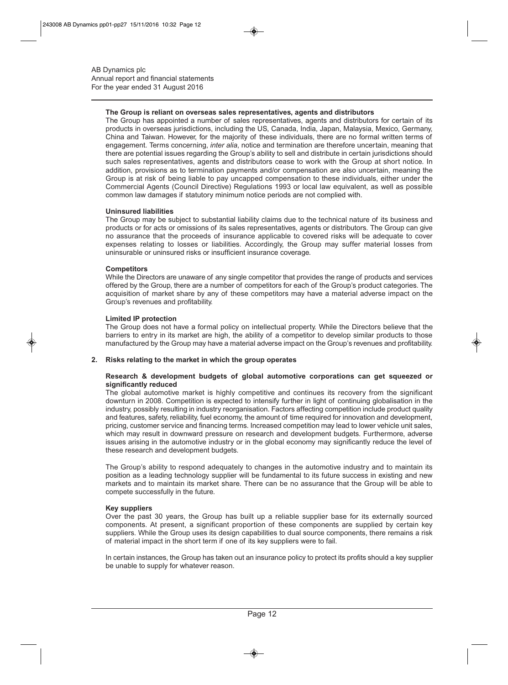#### **The Group is reliant on overseas sales representatives, agents and distributors**

The Group has appointed a number of sales representatives, agents and distributors for certain of its products in overseas jurisdictions, including the US, Canada, India, Japan, Malaysia, Mexico, Germany, China and Taiwan. However, for the majority of these individuals, there are no formal written terms of engagement. Terms concerning, *inter alia*, notice and termination are therefore uncertain, meaning that there are potential issues regarding the Group's ability to sell and distribute in certain jurisdictions should such sales representatives, agents and distributors cease to work with the Group at short notice. In addition, provisions as to termination payments and/or compensation are also uncertain, meaning the Group is at risk of being liable to pay uncapped compensation to these individuals, either under the Commercial Agents (Council Directive) Regulations 1993 or local law equivalent, as well as possible common law damages if statutory minimum notice periods are not complied with.

#### **Uninsured liabilities**

The Group may be subject to substantial liability claims due to the technical nature of its business and products or for acts or omissions of its sales representatives, agents or distributors. The Group can give no assurance that the proceeds of insurance applicable to covered risks will be adequate to cover expenses relating to losses or liabilities. Accordingly, the Group may suffer material losses from uninsurable or uninsured risks or insufficient insurance coverage.

#### **Competitors**

While the Directors are unaware of any single competitor that provides the range of products and services offered by the Group, there are a number of competitors for each of the Group's product categories. The acquisition of market share by any of these competitors may have a material adverse impact on the Group's revenues and profitability.

#### **Limited IP protection**

The Group does not have a formal policy on intellectual property. While the Directors believe that the barriers to entry in its market are high, the ability of a competitor to develop similar products to those manufactured by the Group may have a material adverse impact on the Group's revenues and profitability.

#### **2. Risks relating to the market in which the group operates**

#### **Research & development budgets of global automotive corporations can get squeezed or significantly reduced**

The global automotive market is highly competitive and continues its recovery from the significant downturn in 2008. Competition is expected to intensify further in light of continuing globalisation in the industry, possibly resulting in industry reorganisation. Factors affecting competition include product quality and features, safety, reliability, fuel economy, the amount of time required for innovation and development, pricing, customer service and financing terms. Increased competition may lead to lower vehicle unit sales, which may result in downward pressure on research and development budgets. Furthermore, adverse issues arising in the automotive industry or in the global economy may significantly reduce the level of these research and development budgets.

The Group's ability to respond adequately to changes in the automotive industry and to maintain its position as a leading technology supplier will be fundamental to its future success in existing and new markets and to maintain its market share. There can be no assurance that the Group will be able to compete successfully in the future.

#### **Key suppliers**

Over the past 30 years, the Group has built up a reliable supplier base for its externally sourced components. At present, a significant proportion of these components are supplied by certain key suppliers. While the Group uses its design capabilities to dual source components, there remains a risk of material impact in the short term if one of its key suppliers were to fail.

In certain instances, the Group has taken out an insurance policy to protect its profits should a key supplier be unable to supply for whatever reason.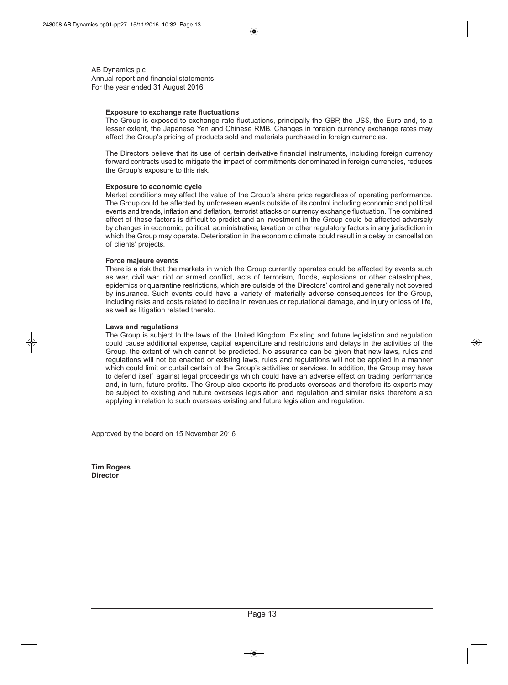#### **Exposure to exchange rate fluctuations**

The Group is exposed to exchange rate fluctuations, principally the GBP, the US\$, the Euro and, to a lesser extent, the Japanese Yen and Chinese RMB. Changes in foreign currency exchange rates may affect the Group's pricing of products sold and materials purchased in foreign currencies.

The Directors believe that its use of certain derivative financial instruments, including foreign currency forward contracts used to mitigate the impact of commitments denominated in foreign currencies, reduces the Group's exposure to this risk.

#### **Exposure to economic cycle**

Market conditions may affect the value of the Group's share price regardless of operating performance. The Group could be affected by unforeseen events outside of its control including economic and political events and trends, inflation and deflation, terrorist attacks or currency exchange fluctuation. The combined effect of these factors is difficult to predict and an investment in the Group could be affected adversely by changes in economic, political, administrative, taxation or other regulatory factors in any jurisdiction in which the Group may operate. Deterioration in the economic climate could result in a delay or cancellation of clients' projects.

#### **Force majeure events**

There is a risk that the markets in which the Group currently operates could be affected by events such as war, civil war, riot or armed conflict, acts of terrorism, floods, explosions or other catastrophes, epidemics or quarantine restrictions, which are outside of the Directors' control and generally not covered by insurance. Such events could have a variety of materially adverse consequences for the Group, including risks and costs related to decline in revenues or reputational damage, and injury or loss of life, as well as litigation related thereto.

## **Laws and regulations**

The Group is subject to the laws of the United Kingdom. Existing and future legislation and regulation could cause additional expense, capital expenditure and restrictions and delays in the activities of the Group, the extent of which cannot be predicted. No assurance can be given that new laws, rules and regulations will not be enacted or existing laws, rules and regulations will not be applied in a manner which could limit or curtail certain of the Group's activities or services. In addition, the Group may have to defend itself against legal proceedings which could have an adverse effect on trading performance and, in turn, future profits. The Group also exports its products overseas and therefore its exports may be subject to existing and future overseas legislation and regulation and similar risks therefore also applying in relation to such overseas existing and future legislation and regulation.

Approved by the board on 15 November 2016

**Tim Rogers Director**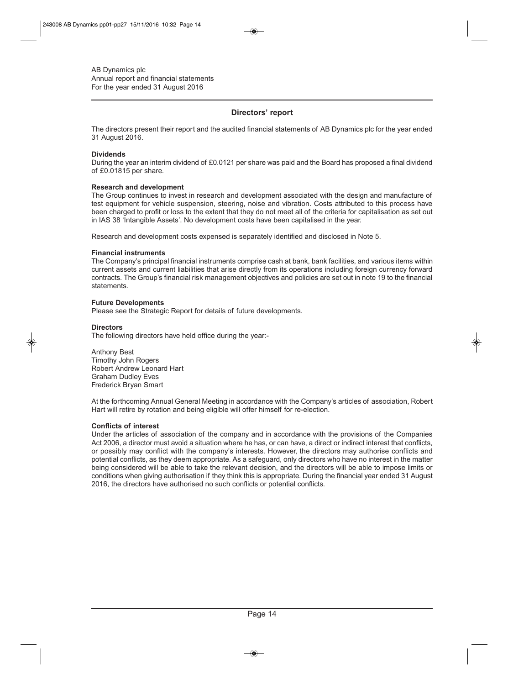# **Directors' report**

The directors present their report and the audited financial statements of AB Dynamics plc for the year ended 31 August 2016.

#### **Dividends**

During the year an interim dividend of £0.0121 per share was paid and the Board has proposed a final dividend of £0.01815 per share.

#### **Research and development**

The Group continues to invest in research and development associated with the design and manufacture of test equipment for vehicle suspension, steering, noise and vibration. Costs attributed to this process have been charged to profit or loss to the extent that they do not meet all of the criteria for capitalisation as set out in IAS 38 'Intangible Assets'. No development costs have been capitalised in the year.

Research and development costs expensed is separately identified and disclosed in Note 5.

#### **Financial instruments**

The Company's principal financial instruments comprise cash at bank, bank facilities, and various items within current assets and current liabilities that arise directly from its operations including foreign currency forward contracts. The Group's financial risk management objectives and policies are set out in note 19 to the financial statements.

#### **Future Developments**

Please see the Strategic Report for details of future developments.

#### **Directors**

The following directors have held office during the year:-

Anthony Best Timothy John Rogers Robert Andrew Leonard Hart Graham Dudley Eves Frederick Bryan Smart

At the forthcoming Annual General Meeting in accordance with the Company's articles of association, Robert Hart will retire by rotation and being eligible will offer himself for re-election.

#### **Conflicts of interest**

Under the articles of association of the company and in accordance with the provisions of the Companies Act 2006, a director must avoid a situation where he has, or can have, a direct or indirect interest that conflicts, or possibly may conflict with the company's interests. However, the directors may authorise conflicts and potential conflicts, as they deem appropriate. As a safeguard, only directors who have no interest in the matter being considered will be able to take the relevant decision, and the directors will be able to impose limits or conditions when giving authorisation if they think this is appropriate. During the financial year ended 31 August 2016, the directors have authorised no such conflicts or potential conflicts.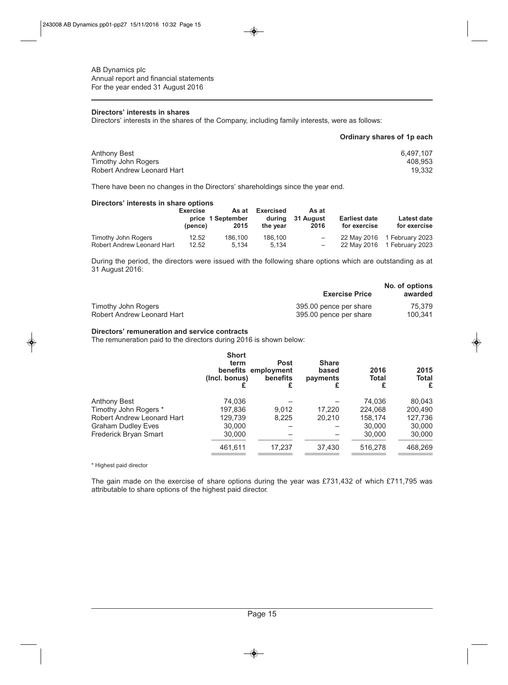#### **Directors' interests in shares**

Directors' interests in the shares of the Company, including family interests, were as follows:

| <b>Anthony Best</b>        | 6,497,107 |
|----------------------------|-----------|
| Timothy John Rogers        | 408.953   |
| Robert Andrew Leonard Hart | 19,332    |
|                            |           |

There have been no changes in the Directors' shareholdings since the year end.

| Directors' interests in share options             |                            |                                    |                                        |                            |                                      |                                                            |
|---------------------------------------------------|----------------------------|------------------------------------|----------------------------------------|----------------------------|--------------------------------------|------------------------------------------------------------|
|                                                   | <b>Exercise</b><br>(pence) | As at<br>price 1 September<br>2015 | <b>Exercised</b><br>durina<br>the vear | As at<br>31 August<br>2016 | <b>Earliest date</b><br>for exercise | <b>Latest date</b><br>for exercise                         |
| Timothy John Rogers<br>Robert Andrew Leonard Hart | 12.52<br>12.52             | 186.100<br>5.134                   | 186.100<br>5.134                       | $\sim$                     |                                      | 22 May 2016 1 February 2023<br>22 May 2016 1 February 2023 |

During the period, the directors were issued with the following share options which are outstanding as at 31 August 2016:

|                            | <b>Exercise Price</b>  | No. of options<br>awarded |  |  |
|----------------------------|------------------------|---------------------------|--|--|
| Timothy John Rogers        | 395.00 pence per share | 75.379                    |  |  |
| Robert Andrew Leonard Hart | 395.00 pence per share | 100.341                   |  |  |

#### **Directors' remuneration and service contracts**

The remuneration paid to the directors during 2016 is shown below:

|                              | <b>Short</b><br>term<br>(Incl. bonus) | Post<br>benefits employment<br><b>benefits</b><br>£ | <b>Share</b><br>based<br>payments | 2016<br><b>Total</b><br>£ | 2015<br><b>Total</b><br>£ |
|------------------------------|---------------------------------------|-----------------------------------------------------|-----------------------------------|---------------------------|---------------------------|
| <b>Anthony Best</b>          | 74,036                                |                                                     |                                   | 74,036                    | 80,043                    |
| Timothy John Rogers *        | 197,836                               | 9,012                                               | 17,220                            | 224,068                   | 200,490                   |
| Robert Andrew Leonard Hart   | 129,739                               | 8,225                                               | 20,210                            | 158,174                   | 127,736                   |
| <b>Graham Dudley Eves</b>    | 30,000                                |                                                     |                                   | 30,000                    | 30,000                    |
| <b>Frederick Bryan Smart</b> | 30,000                                |                                                     |                                   | 30,000                    | 30,000                    |
|                              | 461,611                               | 17,237                                              | 37,430                            | 516,278                   | 468,269                   |
|                              |                                       |                                                     |                                   |                           |                           |

\* Highest paid director

The gain made on the exercise of share options during the year was £731,432 of which £711,795 was attributable to share options of the highest paid director.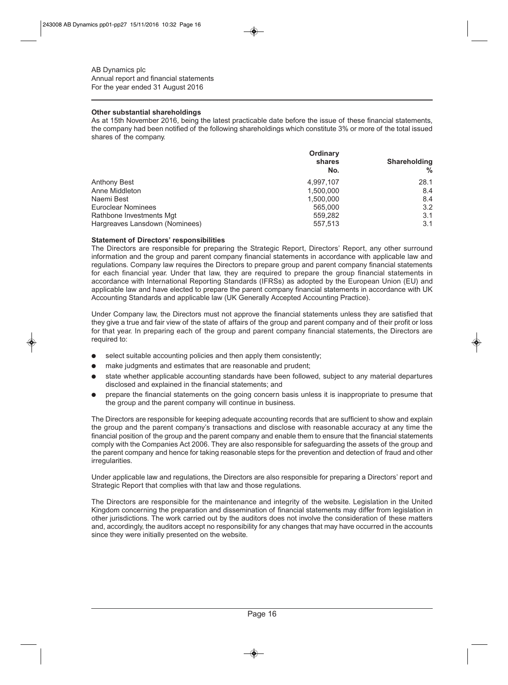#### **Other substantial shareholdings**

As at 15th November 2016, being the latest practicable date before the issue of these financial statements, the company had been notified of the following shareholdings which constitute 3% or more of the total issued shares of the company.

|                                | Ordinary<br>shares<br>No. | Shareholding<br>% |
|--------------------------------|---------------------------|-------------------|
| <b>Anthony Best</b>            | 4,997,107                 | 28.1              |
| Anne Middleton                 | 1,500,000                 | 8.4               |
| Naemi Best                     | 1,500,000                 | 8.4               |
| <b>Euroclear Nominees</b>      | 565,000                   | 3.2               |
| Rathbone Investments Mgt       | 559,282                   | 3.1               |
| Hargreaves Lansdown (Nominees) | 557,513                   | 3.1               |

#### **Statement of Directors' responsibilities**

The Directors are responsible for preparing the Strategic Report, Directors' Report, any other surround information and the group and parent company financial statements in accordance with applicable law and regulations. Company law requires the Directors to prepare group and parent company financial statements for each financial year. Under that law, they are required to prepare the group financial statements in accordance with International Reporting Standards (IFRSs) as adopted by the European Union (EU) and applicable law and have elected to prepare the parent company financial statements in accordance with UK Accounting Standards and applicable law (UK Generally Accepted Accounting Practice).

Under Company law, the Directors must not approve the financial statements unless they are satisfied that they give a true and fair view of the state of affairs of the group and parent company and of their profit or loss for that year. In preparing each of the group and parent company financial statements, the Directors are required to:

- select suitable accounting policies and then apply them consistently;
- make judgments and estimates that are reasonable and prudent;
- state whether applicable accounting standards have been followed, subject to any material departures disclosed and explained in the financial statements; and
- prepare the financial statements on the going concern basis unless it is inappropriate to presume that the group and the parent company will continue in business.

The Directors are responsible for keeping adequate accounting records that are sufficient to show and explain the group and the parent company's transactions and disclose with reasonable accuracy at any time the financial position of the group and the parent company and enable them to ensure that the financial statements comply with the Companies Act 2006. They are also responsible for safeguarding the assets of the group and the parent company and hence for taking reasonable steps for the prevention and detection of fraud and other irregularities.

Under applicable law and regulations, the Directors are also responsible for preparing a Directors' report and Strategic Report that complies with that law and those regulations.

The Directors are responsible for the maintenance and integrity of the website. Legislation in the United Kingdom concerning the preparation and dissemination of financial statements may differ from legislation in other jurisdictions. The work carried out by the auditors does not involve the consideration of these matters and, accordingly, the auditors accept no responsibility for any changes that may have occurred in the accounts since they were initially presented on the website.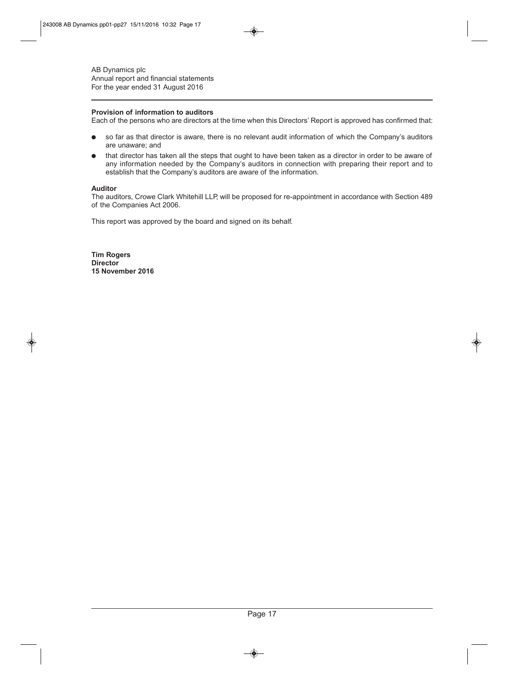#### **Provision of information to auditors**

Each of the persons who are directors at the time when this Directors' Report is approved has confirmed that:

- so far as that director is aware, there is no relevant audit information of which the Company's auditors are unaware; and
- that director has taken all the steps that ought to have been taken as a director in order to be aware of any information needed by the Company's auditors in connection with preparing their report and to establish that the Company's auditors are aware of the information.

#### **Auditor**

The auditors, Crowe Clark Whitehill LLP, will be proposed for re-appointment in accordance with Section 489 of the Companies Act 2006.

This report was approved by the board and signed on its behalf.

**Tim Rogers Director 15 November 2016**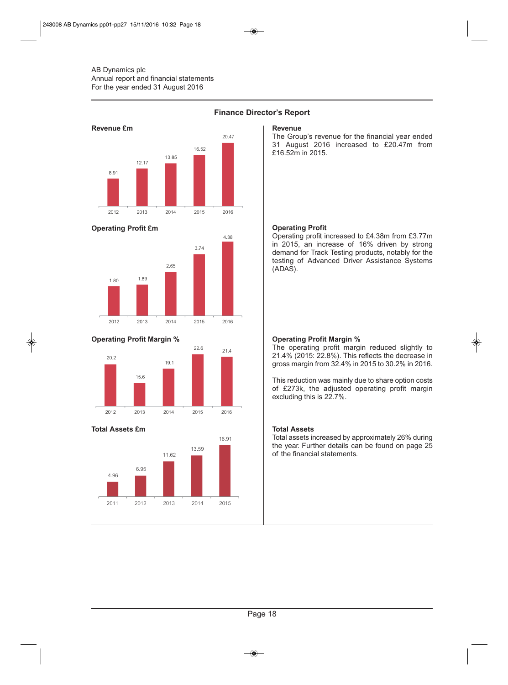

# **Operating Profit £m**



# **Operating Profit Margin %**



# **Total Assets £m**



# **Finance Director's Report**

# **Revenue**

The Group's revenue for the financial year ended 31 August 2016 increased to £20.47m from £16.52m in 2015.

# **Operating Profit**

Operating profit increased to £4.38m from £3.77m in 2015, an increase of 16% driven by strong demand for Track Testing products, notably for the testing of Advanced Driver Assistance Systems (ADAS).

# **Operating Profit Margin %**

The operating profit margin reduced slightly to 21.4% (2015: 22.8%). This reflects the decrease in gross margin from 32.4% in 2015 to 30.2% in 2016.

This reduction was mainly due to share option costs of £273k, the adjusted operating profit margin excluding this is 22.7%.

## **Total Assets**

Total assets increased by approximately 26% during the year. Further details can be found on page 25 of the financial statements.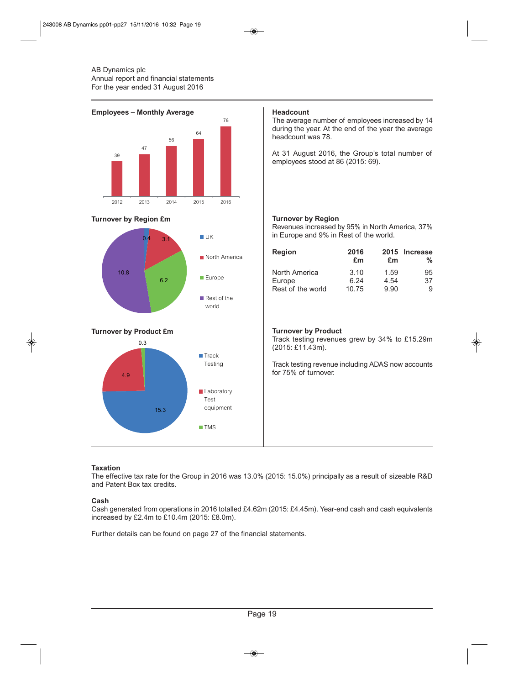

# **Taxation**

The effective tax rate for the Group in 2016 was 13.0% (2015: 15.0%) principally as a result of sizeable R&D and Patent Box tax credits.

## **Cash**

Cash generated from operations in 2016 totalled £4.62m (2015: £4.45m). Year-end cash and cash equivalents increased by £2.4m to £10.4m (2015: £8.0m).

Further details can be found on page 27 of the financial statements.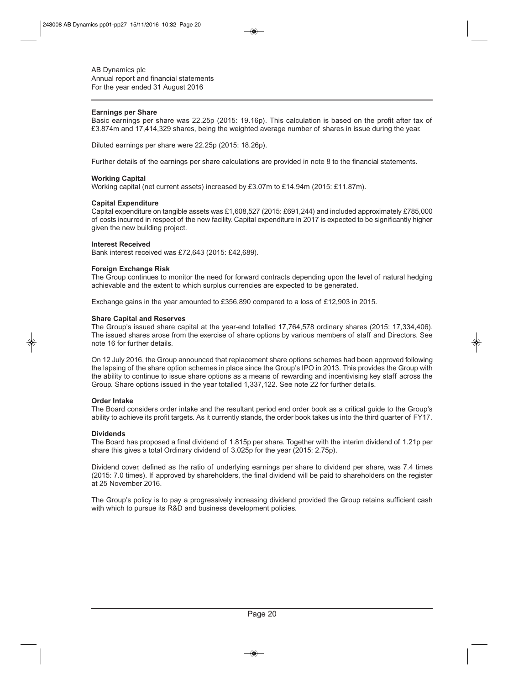#### **Earnings per Share**

Basic earnings per share was 22.25p (2015: 19.16p). This calculation is based on the profit after tax of £3.874m and 17,414,329 shares, being the weighted average number of shares in issue during the year.

Diluted earnings per share were 22.25p (2015: 18.26p).

Further details of the earnings per share calculations are provided in note 8 to the financial statements.

#### **Working Capital**

Working capital (net current assets) increased by £3.07m to £14.94m (2015: £11.87m).

#### **Capital Expenditure**

Capital expenditure on tangible assets was £1,608,527 (2015: £691,244) and included approximately £785,000 of costs incurred in respect of the new facility. Capital expenditure in 2017 is expected to be significantly higher given the new building project.

#### **Interest Received**

Bank interest received was £72,643 (2015: £42,689).

#### **Foreign Exchange Risk**

The Group continues to monitor the need for forward contracts depending upon the level of natural hedging achievable and the extent to which surplus currencies are expected to be generated.

Exchange gains in the year amounted to £356,890 compared to a loss of £12,903 in 2015.

#### **Share Capital and Reserves**

The Group's issued share capital at the year-end totalled 17,764,578 ordinary shares (2015: 17,334,406). The issued shares arose from the exercise of share options by various members of staff and Directors. See note 16 for further details.

On 12 July 2016, the Group announced that replacement share options schemes had been approved following the lapsing of the share option schemes in place since the Group's IPO in 2013. This provides the Group with the ability to continue to issue share options as a means of rewarding and incentivising key staff across the Group. Share options issued in the year totalled 1,337,122. See note 22 for further details.

## **Order Intake**

The Board considers order intake and the resultant period end order book as a critical guide to the Group's ability to achieve its profit targets. As it currently stands, the order book takes us into the third quarter of FY17.

#### **Dividends**

The Board has proposed a final dividend of 1.815p per share. Together with the interim dividend of 1.21p per share this gives a total Ordinary dividend of 3.025p for the year (2015: 2.75p).

Dividend cover, defined as the ratio of underlying earnings per share to dividend per share, was 7.4 times (2015: 7.0 times). If approved by shareholders, the final dividend will be paid to shareholders on the register at 25 November 2016.

The Group's policy is to pay a progressively increasing dividend provided the Group retains sufficient cash with which to pursue its R&D and business development policies.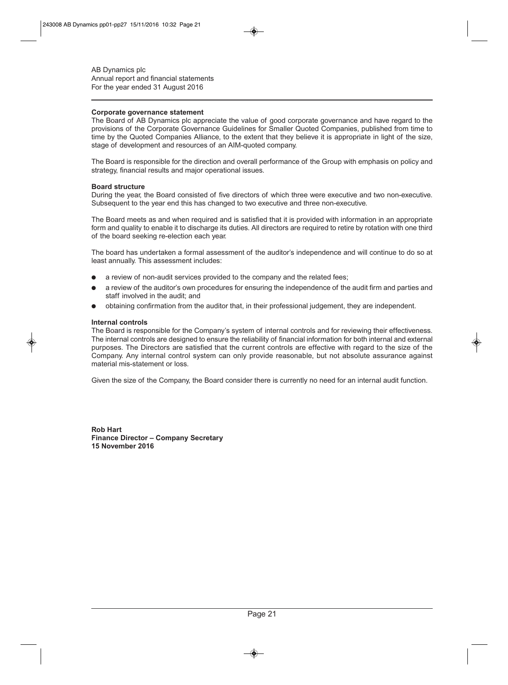#### **Corporate governance statement**

The Board of AB Dynamics plc appreciate the value of good corporate governance and have regard to the provisions of the Corporate Governance Guidelines for Smaller Quoted Companies, published from time to time by the Quoted Companies Alliance, to the extent that they believe it is appropriate in light of the size, stage of development and resources of an AIM-quoted company.

The Board is responsible for the direction and overall performance of the Group with emphasis on policy and strategy, financial results and major operational issues.

#### **Board structure**

During the year, the Board consisted of five directors of which three were executive and two non-executive. Subsequent to the year end this has changed to two executive and three non-executive.

The Board meets as and when required and is satisfied that it is provided with information in an appropriate form and quality to enable it to discharge its duties. All directors are required to retire by rotation with one third of the board seeking re-election each year.

The board has undertaken a formal assessment of the auditor's independence and will continue to do so at least annually. This assessment includes:

- a review of non-audit services provided to the company and the related fees;
- a review of the auditor's own procedures for ensuring the independence of the audit firm and parties and staff involved in the audit; and
- obtaining confirmation from the auditor that, in their professional judgement, they are independent.

#### **Internal controls**

The Board is responsible for the Company's system of internal controls and for reviewing their effectiveness. The internal controls are designed to ensure the reliability of financial information for both internal and external purposes. The Directors are satisfied that the current controls are effective with regard to the size of the Company. Any internal control system can only provide reasonable, but not absolute assurance against material mis-statement or loss.

Given the size of the Company, the Board consider there is currently no need for an internal audit function.

**Rob Hart Finance Director – Company Secretary 15 November 2016**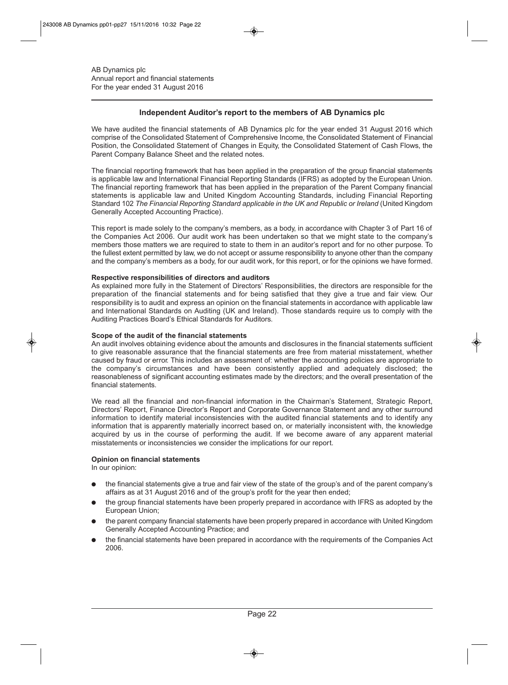# **Independent Auditor's report to the members of AB Dynamics plc**

We have audited the financial statements of AB Dynamics plc for the year ended 31 August 2016 which comprise of the Consolidated Statement of Comprehensive Income, the Consolidated Statement of Financial Position, the Consolidated Statement of Changes in Equity, the Consolidated Statement of Cash Flows, the Parent Company Balance Sheet and the related notes.

The financial reporting framework that has been applied in the preparation of the group financial statements is applicable law and International Financial Reporting Standards (IFRS) as adopted by the European Union. The financial reporting framework that has been applied in the preparation of the Parent Company financial statements is applicable law and United Kingdom Accounting Standards, including Financial Reporting Standard 102 *The Financial Reporting Standard applicable in the UK and Republic or Ireland* (United Kingdom Generally Accepted Accounting Practice).

This report is made solely to the company's members, as a body, in accordance with Chapter 3 of Part 16 of the Companies Act 2006. Our audit work has been undertaken so that we might state to the company's members those matters we are required to state to them in an auditor's report and for no other purpose. To the fullest extent permitted by law, we do not accept or assume responsibility to anyone other than the company and the company's members as a body, for our audit work, for this report, or for the opinions we have formed.

#### **Respective responsibilities of directors and auditors**

As explained more fully in the Statement of Directors' Responsibilities, the directors are responsible for the preparation of the financial statements and for being satisfied that they give a true and fair view. Our responsibility is to audit and express an opinion on the financial statements in accordance with applicable law and International Standards on Auditing (UK and Ireland). Those standards require us to comply with the Auditing Practices Board's Ethical Standards for Auditors.

#### **Scope of the audit of the financial statements**

An audit involves obtaining evidence about the amounts and disclosures in the financial statements sufficient to give reasonable assurance that the financial statements are free from material misstatement, whether caused by fraud or error. This includes an assessment of: whether the accounting policies are appropriate to the company's circumstances and have been consistently applied and adequately disclosed; the reasonableness of significant accounting estimates made by the directors; and the overall presentation of the financial statements.

We read all the financial and non-financial information in the Chairman's Statement, Strategic Report, Directors' Report, Finance Director's Report and Corporate Governance Statement and any other surround information to identify material inconsistencies with the audited financial statements and to identify any information that is apparently materially incorrect based on, or materially inconsistent with, the knowledge acquired by us in the course of performing the audit. If we become aware of any apparent material misstatements or inconsistencies we consider the implications for our report.

#### **Opinion on financial statements**

In our opinion:

- the financial statements give a true and fair view of the state of the group's and of the parent company's affairs as at 31 August 2016 and of the group's profit for the year then ended;
- the group financial statements have been properly prepared in accordance with IFRS as adopted by the European Union;
- the parent company financial statements have been properly prepared in accordance with United Kingdom Generally Accepted Accounting Practice; and
- the financial statements have been prepared in accordance with the requirements of the Companies Act 2006.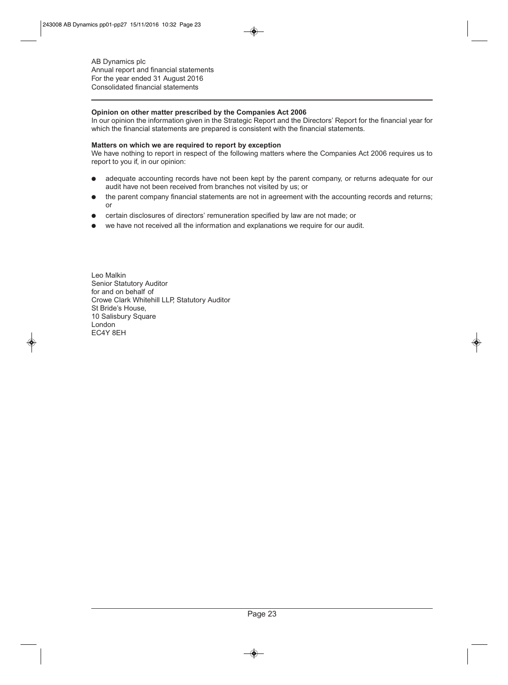# **Opinion on other matter prescribed by the Companies Act 2006**

In our opinion the information given in the Strategic Report and the Directors' Report for the financial year for which the financial statements are prepared is consistent with the financial statements.

#### **Matters on which we are required to report by exception**

We have nothing to report in respect of the following matters where the Companies Act 2006 requires us to report to you if, in our opinion:

- adequate accounting records have not been kept by the parent company, or returns adequate for our audit have not been received from branches not visited by us; or
- the parent company financial statements are not in agreement with the accounting records and returns; or
- certain disclosures of directors' remuneration specified by law are not made; or
- we have not received all the information and explanations we require for our audit.

Leo Malkin Senior Statutory Auditor for and on behalf of Crowe Clark Whitehill LLP, Statutory Auditor St Bride's House, 10 Salisbury Square London EC4Y 8EH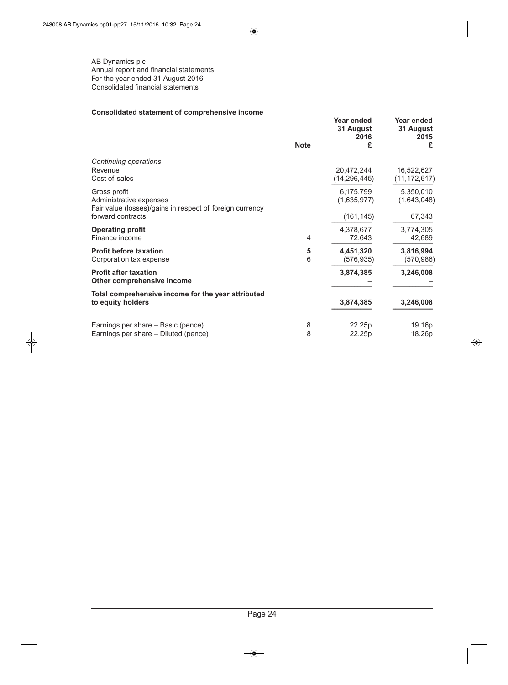# **Consolidated statement of comprehensive income**

|                                                                                                     | <b>Note</b> | <b>Year ended</b><br>31 August<br>2016<br>£ | Year ended<br>31 August<br>2015<br>£ |
|-----------------------------------------------------------------------------------------------------|-------------|---------------------------------------------|--------------------------------------|
|                                                                                                     |             |                                             |                                      |
| Continuing operations<br>Revenue<br>Cost of sales                                                   |             | 20,472,244<br>(14, 296, 445)                | 16,522,627<br>(11, 172, 617)         |
| Gross profit<br>Administrative expenses<br>Fair value (losses)/gains in respect of foreign currency |             | 6,175,799<br>(1,635,977)                    | 5,350,010<br>(1,643,048)             |
| forward contracts                                                                                   |             | (161, 145)                                  | 67,343                               |
| <b>Operating profit</b><br>Finance income                                                           | 4           | 4,378,677<br>72,643                         | 3,774,305<br>42,689                  |
| <b>Profit before taxation</b><br>Corporation tax expense                                            | 5<br>6      | 4,451,320<br>(576, 935)                     | 3,816,994<br>(570,986)               |
| <b>Profit after taxation</b><br>Other comprehensive income                                          |             | 3,874,385                                   | 3,246,008                            |
| Total comprehensive income for the year attributed<br>to equity holders                             |             | 3,874,385                                   | 3,246,008                            |
| Earnings per share - Basic (pence)<br>Earnings per share - Diluted (pence)                          | 8<br>8      | 22.25p<br>22.25p                            | 19.16p<br>18.26p                     |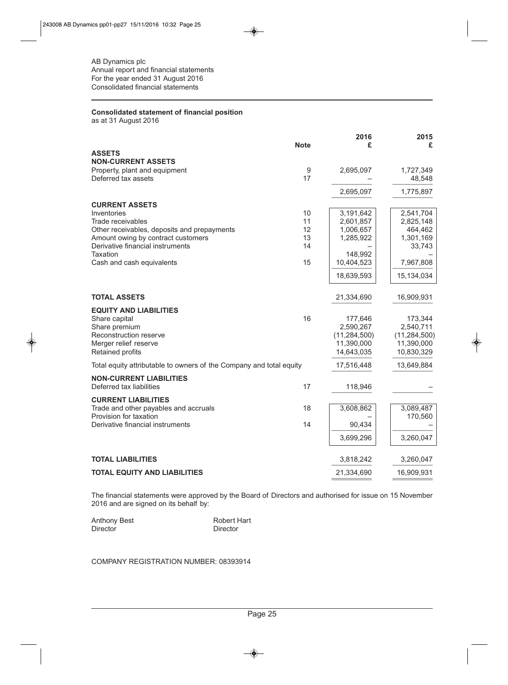#### **Consolidated statement of financial position**

as at 31 August 2016

|                                                                     | <b>Note</b> | 2016<br>£      | 2015<br>£      |
|---------------------------------------------------------------------|-------------|----------------|----------------|
| <b>ASSETS</b>                                                       |             |                |                |
| <b>NON-CURRENT ASSETS</b>                                           |             |                |                |
| Property, plant and equipment                                       | $9\,$       | 2,695,097      | 1,727,349      |
| Deferred tax assets                                                 | 17          |                | 48,548         |
|                                                                     |             | 2,695,097      | 1,775,897      |
| <b>CURRENT ASSETS</b>                                               |             |                |                |
| Inventories                                                         | 10          | 3,191,642      | 2,541,704      |
| Trade receivables                                                   | 11          | 2,601,857      | 2,825,148      |
| Other receivables, deposits and prepayments                         | 12          | 1,006,657      | 464,462        |
| Amount owing by contract customers                                  | 13          | 1,285,922      | 1,301,169      |
| Derivative financial instruments                                    | 14          |                | 33,743         |
| Taxation                                                            |             | 148,992        |                |
| Cash and cash equivalents                                           | 15          | 10,404,523     | 7,967,808      |
|                                                                     |             | 18,639,593     | 15,134,034     |
| <b>TOTAL ASSETS</b>                                                 |             | 21,334,690     | 16,909,931     |
| <b>EQUITY AND LIABILITIES</b>                                       |             |                |                |
| Share capital                                                       | 16          | 177,646        | 173,344        |
| Share premium                                                       |             | 2,590,267      | 2,540,711      |
| Reconstruction reserve                                              |             | (11, 284, 500) | (11, 284, 500) |
| Merger relief reserve                                               |             | 11,390,000     | 11,390,000     |
| Retained profits                                                    |             | 14,643,035     | 10,830,329     |
| Total equity attributable to owners of the Company and total equity |             | 17,516,448     | 13,649,884     |
| <b>NON-CURRENT LIABILITIES</b>                                      |             |                |                |
| Deferred tax liabilities                                            | 17          | 118,946        |                |
| <b>CURRENT LIABILITIES</b>                                          |             |                |                |
| Trade and other payables and accruals                               | 18          | 3,608,862      | 3,089,487      |
| Provision for taxation                                              |             |                | 170,560        |
| Derivative financial instruments                                    | 14          | 90,434         |                |
|                                                                     |             | 3,699,296      | 3,260,047      |
|                                                                     |             |                |                |
| <b>TOTAL LIABILITIES</b>                                            |             | 3,818,242      | 3,260,047      |
| <b>TOTAL EQUITY AND LIABILITIES</b>                                 |             | 21,334,690     | 16,909,931     |
|                                                                     |             |                |                |

The financial statements were approved by the Board of Directors and authorised for issue on 15 November 2016 and are signed on its behalf by:

| <b>Anthony Best</b> | <b>Robert Hart</b> |
|---------------------|--------------------|
| <b>Director</b>     | Director           |

# COMPANY REGISTRATION NUMBER: 08393914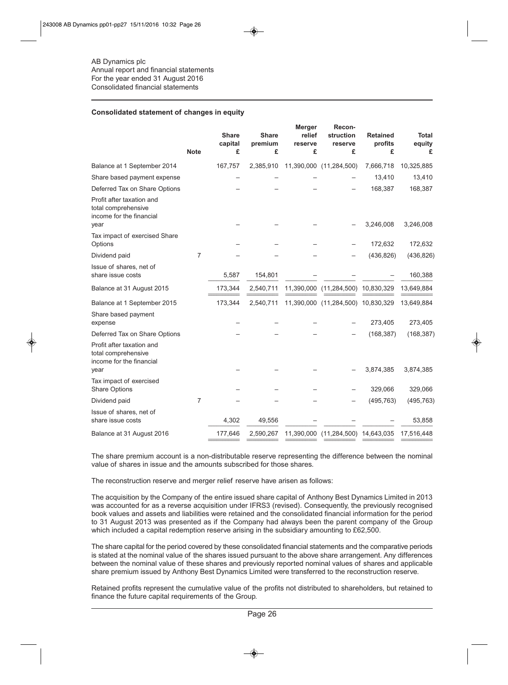#### **Consolidated statement of changes in equity**

|                                                                                      | <b>Note</b>    | <b>Share</b><br>capital<br>£ | <b>Share</b><br>premium<br>£ | <b>Merger</b><br>relief<br>reserve<br>£ | Recon-<br>struction<br>reserve<br>£ | <b>Retained</b><br>profits<br>£ | Total<br>equity<br>£ |
|--------------------------------------------------------------------------------------|----------------|------------------------------|------------------------------|-----------------------------------------|-------------------------------------|---------------------------------|----------------------|
| Balance at 1 September 2014                                                          |                | 167,757                      | 2,385,910                    |                                         | 11,390,000 (11,284,500)             | 7,666,718                       | 10,325,885           |
| Share based payment expense                                                          |                |                              |                              |                                         |                                     | 13,410                          | 13,410               |
| Deferred Tax on Share Options                                                        |                |                              |                              |                                         |                                     | 168,387                         | 168,387              |
| Profit after taxation and<br>total comprehensive<br>income for the financial<br>year |                |                              |                              |                                         |                                     | 3,246,008                       | 3,246,008            |
| Tax impact of exercised Share<br>Options                                             |                |                              |                              |                                         |                                     | 172,632                         | 172,632              |
| Dividend paid                                                                        | $\overline{7}$ |                              |                              |                                         |                                     | (436, 826)                      | (436, 826)           |
| Issue of shares, net of<br>share issue costs                                         |                | 5,587                        | 154,801                      |                                         |                                     |                                 | 160,388              |
| Balance at 31 August 2015                                                            |                | 173,344                      | 2,540,711                    |                                         | 11,390,000 (11,284,500) 10,830,329  |                                 | 13,649,884           |
| Balance at 1 September 2015                                                          |                | 173,344                      | 2,540,711                    |                                         | 11,390,000 (11,284,500) 10,830,329  |                                 | 13,649,884           |
| Share based payment<br>expense                                                       |                |                              |                              |                                         |                                     | 273,405                         | 273,405              |
| Deferred Tax on Share Options                                                        |                |                              |                              |                                         |                                     | (168, 387)                      | (168, 387)           |
| Profit after taxation and<br>total comprehensive<br>income for the financial<br>year |                |                              |                              |                                         |                                     | 3,874,385                       | 3,874,385            |
| Tax impact of exercised<br><b>Share Options</b>                                      |                |                              |                              |                                         |                                     | 329,066                         | 329,066              |
| Dividend paid                                                                        | $\overline{7}$ |                              |                              |                                         |                                     | (495, 763)                      | (495, 763)           |
| Issue of shares, net of<br>share issue costs                                         |                | 4,302                        | 49,556                       |                                         |                                     |                                 | 53,858               |
| Balance at 31 August 2016                                                            |                | 177,646                      | 2,590,267                    |                                         | 11,390,000 (11,284,500) 14,643,035  |                                 | 17,516,448           |
|                                                                                      |                |                              |                              |                                         |                                     |                                 |                      |

The share premium account is a non-distributable reserve representing the difference between the nominal value of shares in issue and the amounts subscribed for those shares.

The reconstruction reserve and merger relief reserve have arisen as follows:

The acquisition by the Company of the entire issued share capital of Anthony Best Dynamics Limited in 2013 was accounted for as a reverse acquisition under IFRS3 (revised). Consequently, the previously recognised book values and assets and liabilities were retained and the consolidated financial information for the period to 31 August 2013 was presented as if the Company had always been the parent company of the Group which included a capital redemption reserve arising in the subsidiary amounting to £62,500.

The share capital for the period covered by these consolidated financial statements and the comparative periods is stated at the nominal value of the shares issued pursuant to the above share arrangement. Any differences between the nominal value of these shares and previously reported nominal values of shares and applicable share premium issued by Anthony Best Dynamics Limited were transferred to the reconstruction reserve.

Retained profits represent the cumulative value of the profits not distributed to shareholders, but retained to finance the future capital requirements of the Group.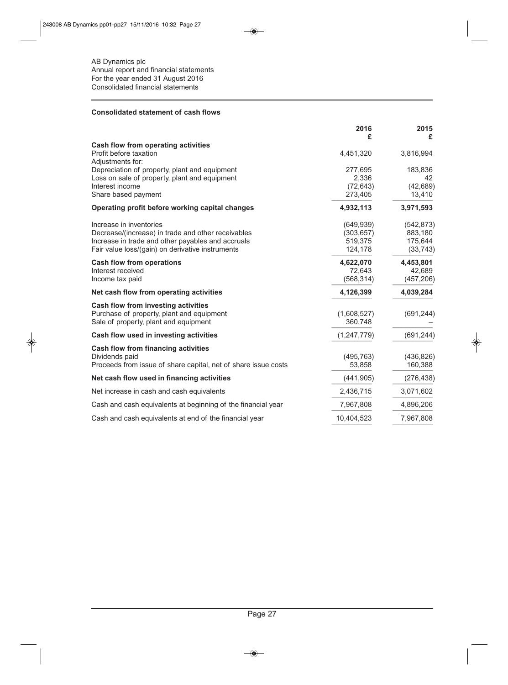# **Consolidated statement of cash flows**

|                                                                | 2016<br>£     | 2015<br>£  |
|----------------------------------------------------------------|---------------|------------|
| <b>Cash flow from operating activities</b>                     |               |            |
| Profit before taxation                                         | 4,451,320     | 3,816,994  |
| Adjustments for:                                               |               |            |
| Depreciation of property, plant and equipment                  | 277,695       | 183,836    |
| Loss on sale of property, plant and equipment                  | 2,336         | 42         |
| Interest income                                                | (72, 643)     | (42, 689)  |
| Share based payment                                            | 273,405       | 13,410     |
| Operating profit before working capital changes                | 4,932,113     | 3,971,593  |
| Increase in inventories                                        | (649, 939)    | (542, 873) |
| Decrease/(increase) in trade and other receivables             | (303, 657)    | 883,180    |
| Increase in trade and other payables and accruals              | 519,375       | 175,644    |
| Fair value loss/(gain) on derivative instruments               | 124,178       | (33, 743)  |
| <b>Cash flow from operations</b>                               | 4,622,070     | 4,453,801  |
| Interest received                                              | 72,643        | 42,689     |
| Income tax paid                                                | (568, 314)    | (457, 206) |
| Net cash flow from operating activities                        | 4,126,399     | 4,039,284  |
| <b>Cash flow from investing activities</b>                     |               |            |
| Purchase of property, plant and equipment                      | (1,608,527)   | (691, 244) |
| Sale of property, plant and equipment                          | 360,748       |            |
| Cash flow used in investing activities                         | (1, 247, 779) | (691, 244) |
| <b>Cash flow from financing activities</b>                     |               |            |
| Dividends paid                                                 | (495, 763)    | (436, 826) |
| Proceeds from issue of share capital, net of share issue costs | 53,858        | 160,388    |
| Net cash flow used in financing activities                     | (441, 905)    | (276, 438) |
| Net increase in cash and cash equivalents                      | 2,436,715     | 3,071,602  |
| Cash and cash equivalents at beginning of the financial year   | 7,967,808     | 4,896,206  |
| Cash and cash equivalents at end of the financial year         | 10,404,523    | 7,967,808  |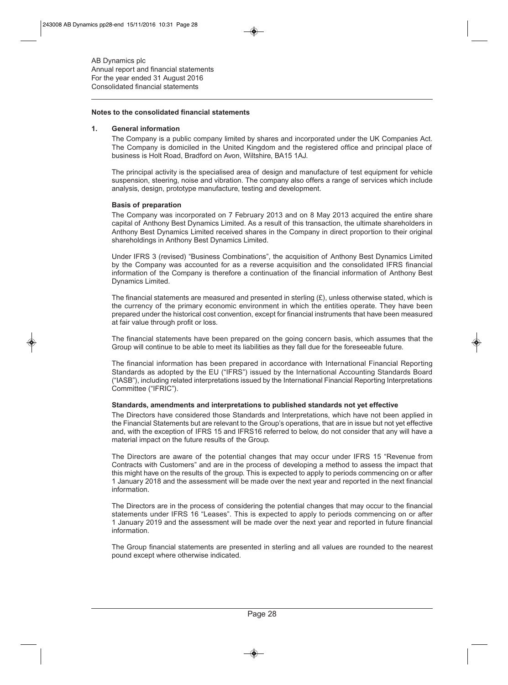#### **Notes to the consolidated financial statements**

#### **1. General information**

The Company is a public company limited by shares and incorporated under the UK Companies Act. The Company is domiciled in the United Kingdom and the registered office and principal place of business is Holt Road, Bradford on Avon, Wiltshire, BA15 1AJ.

The principal activity is the specialised area of design and manufacture of test equipment for vehicle suspension, steering, noise and vibration. The company also offers a range of services which include analysis, design, prototype manufacture, testing and development.

## **Basis of preparation**

The Company was incorporated on 7 February 2013 and on 8 May 2013 acquired the entire share capital of Anthony Best Dynamics Limited. As a result of this transaction, the ultimate shareholders in Anthony Best Dynamics Limited received shares in the Company in direct proportion to their original shareholdings in Anthony Best Dynamics Limited.

Under IFRS 3 (revised) "Business Combinations", the acquisition of Anthony Best Dynamics Limited by the Company was accounted for as a reverse acquisition and the consolidated IFRS financial information of the Company is therefore a continuation of the financial information of Anthony Best Dynamics Limited.

The financial statements are measured and presented in sterling  $(E)$ , unless otherwise stated, which is the currency of the primary economic environment in which the entities operate. They have been prepared under the historical cost convention, except for financial instruments that have been measured at fair value through profit or loss.

The financial statements have been prepared on the going concern basis, which assumes that the Group will continue to be able to meet its liabilities as they fall due for the foreseeable future.

The financial information has been prepared in accordance with International Financial Reporting Standards as adopted by the EU ("IFRS") issued by the International Accounting Standards Board ("IASB"), including related interpretations issued by the International Financial Reporting Interpretations Committee ("IFRIC").

## **Standards, amendments and interpretations to published standards not yet effective**

The Directors have considered those Standards and Interpretations, which have not been applied in the Financial Statements but are relevant to the Group's operations, that are in issue but not yet effective and, with the exception of IFRS 15 and IFRS16 referred to below, do not consider that any will have a material impact on the future results of the Group.

The Directors are aware of the potential changes that may occur under IFRS 15 "Revenue from Contracts with Customers" and are in the process of developing a method to assess the impact that this might have on the results of the group. This is expected to apply to periods commencing on or after 1 January 2018 and the assessment will be made over the next year and reported in the next financial information.

The Directors are in the process of considering the potential changes that may occur to the financial statements under IFRS 16 "Leases". This is expected to apply to periods commencing on or after 1 January 2019 and the assessment will be made over the next year and reported in future financial information.

The Group financial statements are presented in sterling and all values are rounded to the nearest pound except where otherwise indicated.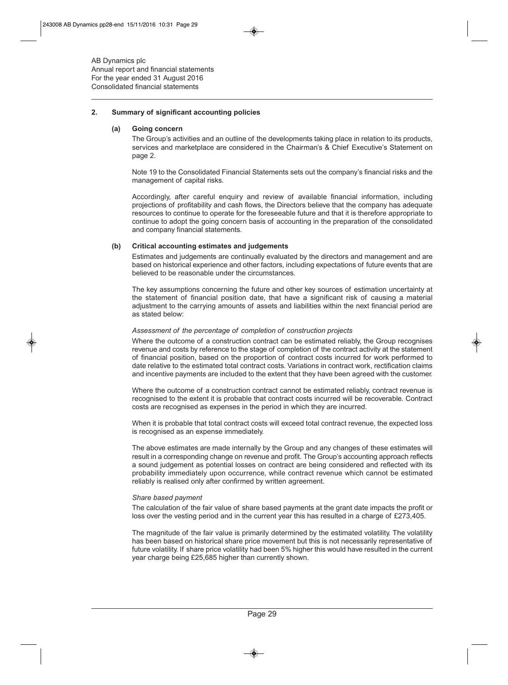#### **2. Summary of significant accounting policies**

#### **(a) Going concern**

The Group's activities and an outline of the developments taking place in relation to its products, services and marketplace are considered in the Chairman's & Chief Executive's Statement on page 2.

Note 19 to the Consolidated Financial Statements sets out the company's financial risks and the management of capital risks.

Accordingly, after careful enquiry and review of available financial information, including projections of profitability and cash flows, the Directors believe that the company has adequate resources to continue to operate for the foreseeable future and that it is therefore appropriate to continue to adopt the going concern basis of accounting in the preparation of the consolidated and company financial statements.

## **(b) Critical accounting estimates and judgements**

Estimates and judgements are continually evaluated by the directors and management and are based on historical experience and other factors, including expectations of future events that are believed to be reasonable under the circumstances.

The key assumptions concerning the future and other key sources of estimation uncertainty at the statement of financial position date, that have a significant risk of causing a material adjustment to the carrying amounts of assets and liabilities within the next financial period are as stated below:

#### *Assessment of the percentage of completion of construction projects*

Where the outcome of a construction contract can be estimated reliably, the Group recognises revenue and costs by reference to the stage of completion of the contract activity at the statement of financial position, based on the proportion of contract costs incurred for work performed to date relative to the estimated total contract costs. Variations in contract work, rectification claims and incentive payments are included to the extent that they have been agreed with the customer.

Where the outcome of a construction contract cannot be estimated reliably, contract revenue is recognised to the extent it is probable that contract costs incurred will be recoverable. Contract costs are recognised as expenses in the period in which they are incurred.

When it is probable that total contract costs will exceed total contract revenue, the expected loss is recognised as an expense immediately.

The above estimates are made internally by the Group and any changes of these estimates will result in a corresponding change on revenue and profit. The Group's accounting approach reflects a sound judgement as potential losses on contract are being considered and reflected with its probability immediately upon occurrence, while contract revenue which cannot be estimated reliably is realised only after confirmed by written agreement.

#### *Share based payment*

The calculation of the fair value of share based payments at the grant date impacts the profit or loss over the vesting period and in the current year this has resulted in a charge of £273,405.

The magnitude of the fair value is primarily determined by the estimated volatility. The volatility has been based on historical share price movement but this is not necessarily representative of future volatility. If share price volatility had been 5% higher this would have resulted in the current year charge being £25,685 higher than currently shown.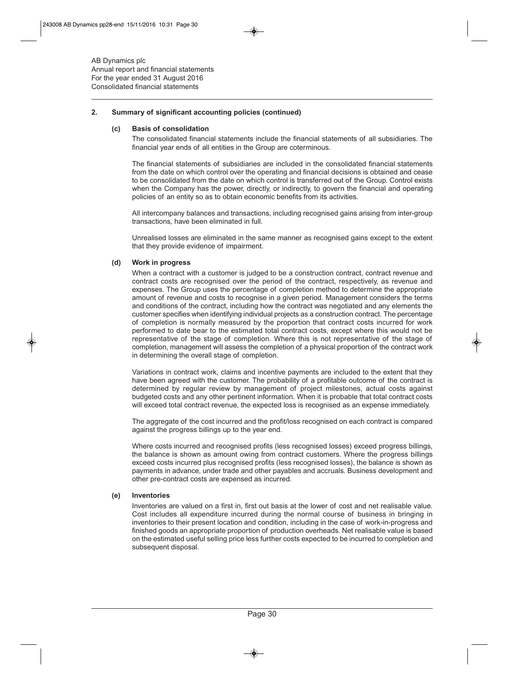#### **(c) Basis of consolidation**

The consolidated financial statements include the financial statements of all subsidiaries. The financial year ends of all entities in the Group are coterminous.

The financial statements of subsidiaries are included in the consolidated financial statements from the date on which control over the operating and financial decisions is obtained and cease to be consolidated from the date on which control is transferred out of the Group. Control exists when the Company has the power, directly, or indirectly, to govern the financial and operating policies of an entity so as to obtain economic benefits from its activities.

All intercompany balances and transactions, including recognised gains arising from inter-group transactions, have been eliminated in full.

Unrealised losses are eliminated in the same manner as recognised gains except to the extent that they provide evidence of impairment.

#### **(d) Work in progress**

When a contract with a customer is judged to be a construction contract, contract revenue and contract costs are recognised over the period of the contract, respectively, as revenue and expenses. The Group uses the percentage of completion method to determine the appropriate amount of revenue and costs to recognise in a given period. Management considers the terms and conditions of the contract, including how the contract was negotiated and any elements the customer specifies when identifying individual projects as a construction contract. The percentage of completion is normally measured by the proportion that contract costs incurred for work performed to date bear to the estimated total contract costs, except where this would not be representative of the stage of completion. Where this is not representative of the stage of completion, management will assess the completion of a physical proportion of the contract work in determining the overall stage of completion.

Variations in contract work, claims and incentive payments are included to the extent that they have been agreed with the customer. The probability of a profitable outcome of the contract is determined by regular review by management of project milestones, actual costs against budgeted costs and any other pertinent information. When it is probable that total contract costs will exceed total contract revenue, the expected loss is recognised as an expense immediately.

The aggregate of the cost incurred and the profit/loss recognised on each contract is compared against the progress billings up to the year end.

Where costs incurred and recognised profits (less recognised losses) exceed progress billings, the balance is shown as amount owing from contract customers. Where the progress billings exceed costs incurred plus recognised profits (less recognised losses), the balance is shown as payments in advance, under trade and other payables and accruals. Business development and other pre-contract costs are expensed as incurred.

#### **(e) Inventories**

Inventories are valued on a first in, first out basis at the lower of cost and net realisable value. Cost includes all expenditure incurred during the normal course of business in bringing in inventories to their present location and condition, including in the case of work-in-progress and finished goods an appropriate proportion of production overheads. Net realisable value is based on the estimated useful selling price less further costs expected to be incurred to completion and subsequent disposal.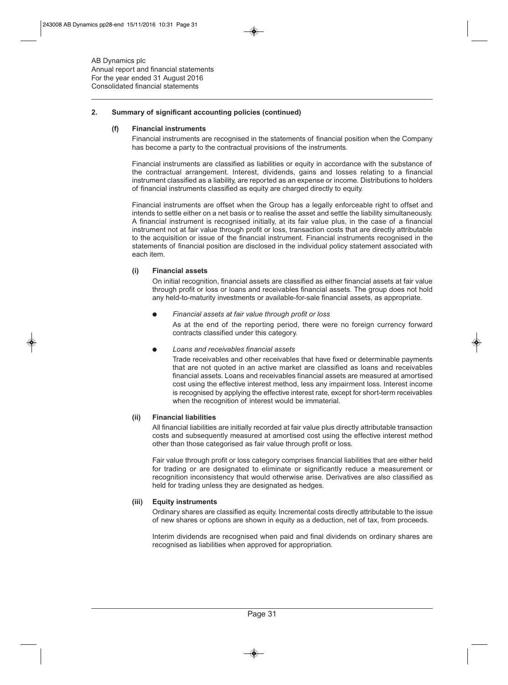## **(f) Financial instruments**

Financial instruments are recognised in the statements of financial position when the Company has become a party to the contractual provisions of the instruments.

Financial instruments are classified as liabilities or equity in accordance with the substance of the contractual arrangement. Interest, dividends, gains and losses relating to a financial instrument classified as a liability, are reported as an expense or income. Distributions to holders of financial instruments classified as equity are charged directly to equity.

Financial instruments are offset when the Group has a legally enforceable right to offset and intends to settle either on a net basis or to realise the asset and settle the liability simultaneously. A financial instrument is recognised initially, at its fair value plus, in the case of a financial instrument not at fair value through profit or loss, transaction costs that are directly attributable to the acquisition or issue of the financial instrument. Financial instruments recognised in the statements of financial position are disclosed in the individual policy statement associated with each item.

# **(i) Financial assets**

On initial recognition, financial assets are classified as either financial assets at fair value through profit or loss or loans and receivables financial assets. The group does not hold any held-to-maturity investments or available-for-sale financial assets, as appropriate.

- *Financial assets at fair value through profit or loss* As at the end of the reporting period, there were no foreign currency forward contracts classified under this category.
- *Loans and receivables financial assets*

Trade receivables and other receivables that have fixed or determinable payments that are not quoted in an active market are classified as loans and receivables financial assets. Loans and receivables financial assets are measured at amortised cost using the effective interest method, less any impairment loss. Interest income is recognised by applying the effective interest rate, except for short-term receivables when the recognition of interest would be immaterial.

## **(ii) Financial liabilities**

All financial liabilities are initially recorded at fair value plus directly attributable transaction costs and subsequently measured at amortised cost using the effective interest method other than those categorised as fair value through profit or loss.

Fair value through profit or loss category comprises financial liabilities that are either held for trading or are designated to eliminate or significantly reduce a measurement or recognition inconsistency that would otherwise arise. Derivatives are also classified as held for trading unless they are designated as hedges.

## **(iii) Equity instruments**

Ordinary shares are classified as equity. Incremental costs directly attributable to the issue of new shares or options are shown in equity as a deduction, net of tax, from proceeds.

Interim dividends are recognised when paid and final dividends on ordinary shares are recognised as liabilities when approved for appropriation.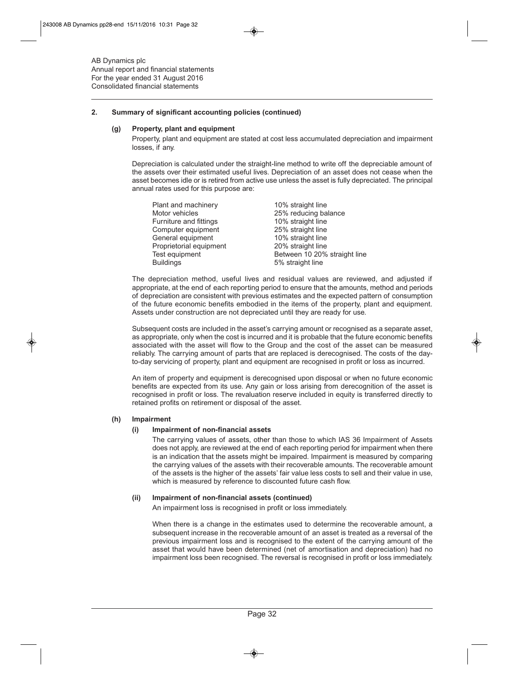#### **(g) Property, plant and equipment**

Property, plant and equipment are stated at cost less accumulated depreciation and impairment losses, if any.

Depreciation is calculated under the straight-line method to write off the depreciable amount of the assets over their estimated useful lives. Depreciation of an asset does not cease when the asset becomes idle or is retired from active use unless the asset is fully depreciated. The principal annual rates used for this purpose are:

| Plant and machinery     | 10% straight line            |
|-------------------------|------------------------------|
| Motor vehicles          | 25% reducing balance         |
| Furniture and fittings  | 10% straight line            |
| Computer equipment      | 25% straight line            |
| General equipment       | 10% straight line            |
| Proprietorial equipment | 20% straight line            |
| Test equipment          | Between 10 20% straight line |
| <b>Buildings</b>        | 5% straight line             |
|                         |                              |

The depreciation method, useful lives and residual values are reviewed, and adjusted if appropriate, at the end of each reporting period to ensure that the amounts, method and periods of depreciation are consistent with previous estimates and the expected pattern of consumption of the future economic benefits embodied in the items of the property, plant and equipment. Assets under construction are not depreciated until they are ready for use.

Subsequent costs are included in the asset's carrying amount or recognised as a separate asset, as appropriate, only when the cost is incurred and it is probable that the future economic benefits associated with the asset will flow to the Group and the cost of the asset can be measured reliably. The carrying amount of parts that are replaced is derecognised. The costs of the dayto-day servicing of property, plant and equipment are recognised in profit or loss as incurred.

An item of property and equipment is derecognised upon disposal or when no future economic benefits are expected from its use. Any gain or loss arising from derecognition of the asset is recognised in profit or loss. The revaluation reserve included in equity is transferred directly to retained profits on retirement or disposal of the asset.

## **(h) Impairment**

## **(i) Impairment of non-financial assets**

The carrying values of assets, other than those to which IAS 36 Impairment of Assets does not apply, are reviewed at the end of each reporting period for impairment when there is an indication that the assets might be impaired. Impairment is measured by comparing the carrying values of the assets with their recoverable amounts. The recoverable amount of the assets is the higher of the assets' fair value less costs to sell and their value in use, which is measured by reference to discounted future cash flow.

## **(ii) Impairment of non-financial assets (continued)**

An impairment loss is recognised in profit or loss immediately.

When there is a change in the estimates used to determine the recoverable amount, a subsequent increase in the recoverable amount of an asset is treated as a reversal of the previous impairment loss and is recognised to the extent of the carrying amount of the asset that would have been determined (net of amortisation and depreciation) had no impairment loss been recognised. The reversal is recognised in profit or loss immediately.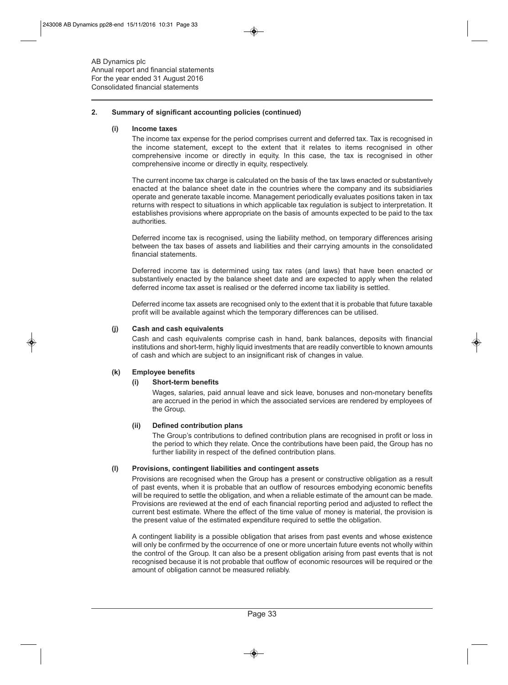## **(i) Income taxes**

The income tax expense for the period comprises current and deferred tax. Tax is recognised in the income statement, except to the extent that it relates to items recognised in other comprehensive income or directly in equity. In this case, the tax is recognised in other comprehensive income or directly in equity, respectively.

The current income tax charge is calculated on the basis of the tax laws enacted or substantively enacted at the balance sheet date in the countries where the company and its subsidiaries operate and generate taxable income. Management periodically evaluates positions taken in tax returns with respect to situations in which applicable tax regulation is subject to interpretation. It establishes provisions where appropriate on the basis of amounts expected to be paid to the tax authorities.

Deferred income tax is recognised, using the liability method, on temporary differences arising between the tax bases of assets and liabilities and their carrying amounts in the consolidated financial statements.

Deferred income tax is determined using tax rates (and laws) that have been enacted or substantively enacted by the balance sheet date and are expected to apply when the related deferred income tax asset is realised or the deferred income tax liability is settled.

Deferred income tax assets are recognised only to the extent that it is probable that future taxable profit will be available against which the temporary differences can be utilised.

#### **(j) Cash and cash equivalents**

Cash and cash equivalents comprise cash in hand, bank balances, deposits with financial institutions and short-term, highly liquid investments that are readily convertible to known amounts of cash and which are subject to an insignificant risk of changes in value.

## **(k) Employee benefits**

## **(i) Short-term benefits**

Wages, salaries, paid annual leave and sick leave, bonuses and non-monetary benefits are accrued in the period in which the associated services are rendered by employees of the Group.

## **(ii) Defined contribution plans**

The Group's contributions to defined contribution plans are recognised in profit or loss in the period to which they relate. Once the contributions have been paid, the Group has no further liability in respect of the defined contribution plans.

# **(l) Provisions, contingent liabilities and contingent assets**

Provisions are recognised when the Group has a present or constructive obligation as a result of past events, when it is probable that an outflow of resources embodying economic benefits will be required to settle the obligation, and when a reliable estimate of the amount can be made. Provisions are reviewed at the end of each financial reporting period and adjusted to reflect the current best estimate. Where the effect of the time value of money is material, the provision is the present value of the estimated expenditure required to settle the obligation.

A contingent liability is a possible obligation that arises from past events and whose existence will only be confirmed by the occurrence of one or more uncertain future events not wholly within the control of the Group. It can also be a present obligation arising from past events that is not recognised because it is not probable that outflow of economic resources will be required or the amount of obligation cannot be measured reliably.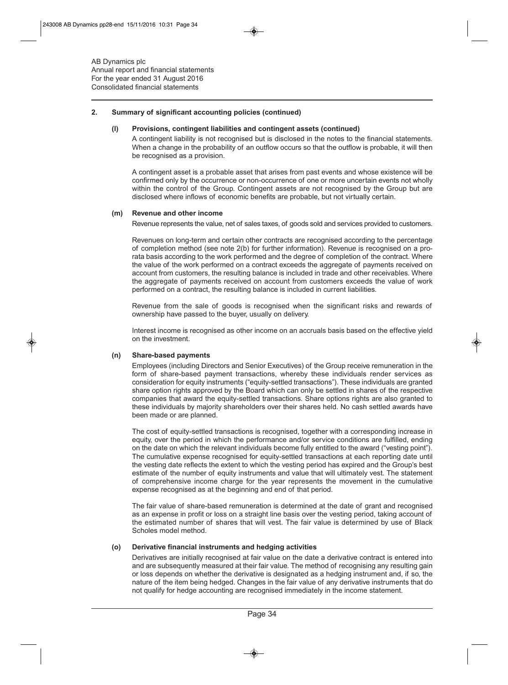#### **(l) Provisions, contingent liabilities and contingent assets (continued)**

A contingent liability is not recognised but is disclosed in the notes to the financial statements. When a change in the probability of an outflow occurs so that the outflow is probable, it will then be recognised as a provision.

A contingent asset is a probable asset that arises from past events and whose existence will be confirmed only by the occurrence or non-occurrence of one or more uncertain events not wholly within the control of the Group. Contingent assets are not recognised by the Group but are disclosed where inflows of economic benefits are probable, but not virtually certain.

## **(m) Revenue and other income**

Revenue represents the value, net of sales taxes, of goods sold and services provided to customers.

Revenues on long-term and certain other contracts are recognised according to the percentage of completion method (see note 2(b) for further information). Revenue is recognised on a prorata basis according to the work performed and the degree of completion of the contract. Where the value of the work performed on a contract exceeds the aggregate of payments received on account from customers, the resulting balance is included in trade and other receivables. Where the aggregate of payments received on account from customers exceeds the value of work performed on a contract, the resulting balance is included in current liabilities.

Revenue from the sale of goods is recognised when the significant risks and rewards of ownership have passed to the buyer, usually on delivery.

Interest income is recognised as other income on an accruals basis based on the effective yield on the investment.

## **(n) Share-based payments**

Employees (including Directors and Senior Executives) of the Group receive remuneration in the form of share-based payment transactions, whereby these individuals render services as consideration for equity instruments ("equity-settled transactions"). These individuals are granted share option rights approved by the Board which can only be settled in shares of the respective companies that award the equity-settled transactions. Share options rights are also granted to these individuals by majority shareholders over their shares held. No cash settled awards have been made or are planned.

The cost of equity-settled transactions is recognised, together with a corresponding increase in equity, over the period in which the performance and/or service conditions are fulfilled, ending on the date on which the relevant individuals become fully entitled to the award ("vesting point"). The cumulative expense recognised for equity-settled transactions at each reporting date until the vesting date reflects the extent to which the vesting period has expired and the Group's best estimate of the number of equity instruments and value that will ultimately vest. The statement of comprehensive income charge for the year represents the movement in the cumulative expense recognised as at the beginning and end of that period.

The fair value of share-based remuneration is determined at the date of grant and recognised as an expense in profit or loss on a straight line basis over the vesting period, taking account of the estimated number of shares that will vest. The fair value is determined by use of Black Scholes model method.

## **(o) Derivative financial instruments and hedging activities**

Derivatives are initially recognised at fair value on the date a derivative contract is entered into and are subsequently measured at their fair value. The method of recognising any resulting gain or loss depends on whether the derivative is designated as a hedging instrument and, if so, the nature of the item being hedged. Changes in the fair value of any derivative instruments that do not qualify for hedge accounting are recognised immediately in the income statement.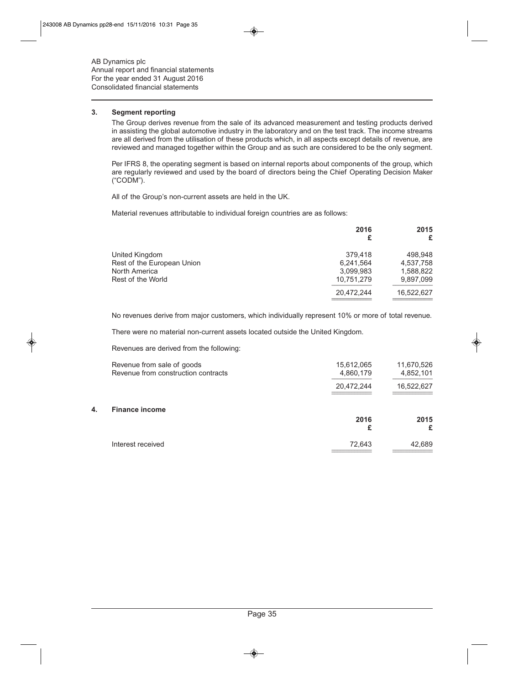# **3. Segment reporting**

The Group derives revenue from the sale of its advanced measurement and testing products derived in assisting the global automotive industry in the laboratory and on the test track. The income streams are all derived from the utilisation of these products which, in all aspects except details of revenue, are reviewed and managed together within the Group and as such are considered to be the only segment.

Per IFRS 8, the operating segment is based on internal reports about components of the group, which are regularly reviewed and used by the board of directors being the Chief Operating Decision Maker ("CODM").

All of the Group's non-current assets are held in the UK.

Material revenues attributable to individual foreign countries are as follows:

|                            | 2016       | 2015       |  |
|----------------------------|------------|------------|--|
|                            | £          | £          |  |
| United Kingdom             | 379.418    | 498,948    |  |
| Rest of the European Union | 6,241,564  | 4,537,758  |  |
| North America              | 3,099,983  | 1,588,822  |  |
| Rest of the World          | 10,751,279 | 9,897,099  |  |
|                            | 20,472,244 | 16,522,627 |  |
|                            |            |            |  |

No revenues derive from major customers, which individually represent 10% or more of total revenue.

There were no material non-current assets located outside the United Kingdom.

Revenues are derived from the following:

| Revenue from sale of goods<br>Revenue from construction contracts | 15,612,065<br>4,860,179 | 11,670,526<br>4,852,101 |
|-------------------------------------------------------------------|-------------------------|-------------------------|
|                                                                   | 20,472,244              | 16,522,627              |
| <b>Finance income</b><br>4.                                       |                         |                         |
|                                                                   | 2016<br>£               | 2015<br>£               |
| Interest received                                                 | 72,643                  | 42,689                  |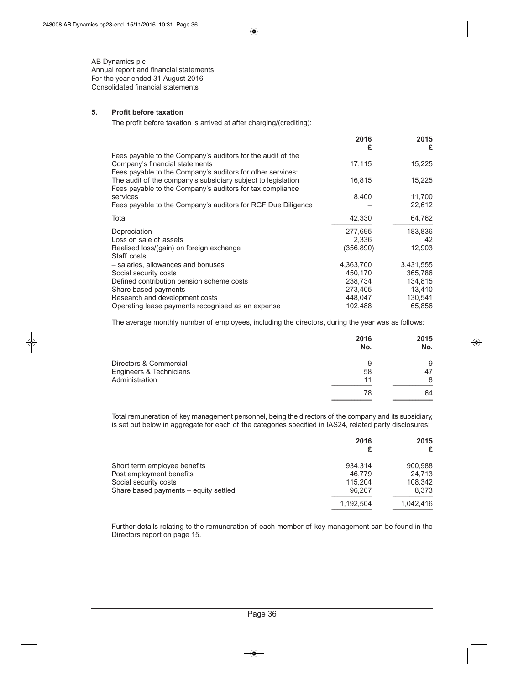# **5. Profit before taxation**

The profit before taxation is arrived at after charging/(crediting):

|                                                              | 2016<br>£ | 2015<br>£ |
|--------------------------------------------------------------|-----------|-----------|
| Fees payable to the Company's auditors for the audit of the  |           |           |
| Company's financial statements                               | 17,115    | 15,225    |
| Fees payable to the Company's auditors for other services:   |           |           |
| The audit of the company's subsidiary subject to legislation | 16,815    | 15,225    |
| Fees payable to the Company's auditors for tax compliance    |           |           |
| services                                                     | 8,400     | 11,700    |
| Fees payable to the Company's auditors for RGF Due Diligence |           | 22,612    |
| Total                                                        | 42,330    | 64,762    |
| Depreciation                                                 | 277,695   | 183,836   |
| Loss on sale of assets                                       | 2,336     | 42        |
| Realised loss/(gain) on foreign exchange                     | (356,890) | 12,903    |
| Staff costs:                                                 |           |           |
| - salaries, allowances and bonuses                           | 4,363,700 | 3,431,555 |
| Social security costs                                        | 450,170   | 365,786   |
| Defined contribution pension scheme costs                    | 238,734   | 134,815   |
| Share based payments                                         | 273,405   | 13,410    |
| Research and development costs                               | 448,047   | 130,541   |
| Operating lease payments recognised as an expense            | 102,488   | 65,856    |

The average monthly number of employees, including the directors, during the year was as follows:

|                         | 2016<br>No. | 2015<br>No. |
|-------------------------|-------------|-------------|
| Directors & Commercial  | 9           | 9           |
| Engineers & Technicians | 58          | 47          |
| Administration          | 11          | 8           |
|                         | 78          | 64          |
|                         |             |             |

Total remuneration of key management personnel, being the directors of the company and its subsidiary, is set out below in aggregate for each of the categories specified in IAS24, related party disclosures:

|                                       | 2016<br>£ | 2015<br>£ |
|---------------------------------------|-----------|-----------|
| Short term employee benefits          | 934.314   | 900,988   |
| Post employment benefits              | 46,779    | 24,713    |
| Social security costs                 | 115.204   | 108,342   |
| Share based payments - equity settled | 96.207    | 8.373     |
|                                       | 1,192,504 | 1,042,416 |
|                                       |           |           |

Further details relating to the remuneration of each member of key management can be found in the Directors report on page 15.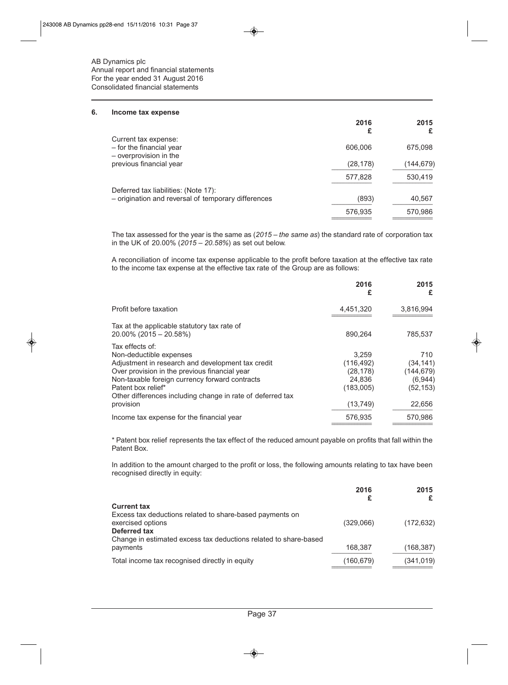#### **6. Income tax expense**

|                                                     | 2016      | 2015       |
|-----------------------------------------------------|-----------|------------|
| Current tax expense:                                |           |            |
| - for the financial year<br>- overprovision in the  | 606,006   | 675,098    |
| previous financial year                             | (28, 178) | (144, 679) |
|                                                     | 577,828   | 530,419    |
| Deferred tax liabilities: (Note 17):                |           |            |
| - origination and reversal of temporary differences | (893)     | 40,567     |
|                                                     | 576,935   | 570,986    |

The tax assessed for the year is the same as (*2015 – the same as*) the standard rate of corporation tax in the UK of 20.00% (*2015 – 20.58%*) as set out below.

A reconciliation of income tax expense applicable to the profit before taxation at the effective tax rate to the income tax expense at the effective tax rate of the Group are as follows:

|                                                                                                                                                                                                                                                                                                     | 2016<br>£                                                           | 2015<br>£                                                        |
|-----------------------------------------------------------------------------------------------------------------------------------------------------------------------------------------------------------------------------------------------------------------------------------------------------|---------------------------------------------------------------------|------------------------------------------------------------------|
| Profit before taxation                                                                                                                                                                                                                                                                              | 4,451,320                                                           | 3,816,994                                                        |
| Tax at the applicable statutory tax rate of<br>$20.00\%$ (2015 - 20.58%)                                                                                                                                                                                                                            | 890,264                                                             | 785,537                                                          |
| Tax effects of:<br>Non-deductible expenses<br>Adjustment in research and development tax credit<br>Over provision in the previous financial year<br>Non-taxable foreign currency forward contracts<br>Patent box relief*<br>Other differences including change in rate of deferred tax<br>provision | 3.259<br>(116, 492)<br>(28,178)<br>24,836<br>(183,005)<br>(13, 749) | 710<br>(34, 141)<br>(144, 679)<br>(6,944)<br>(52, 153)<br>22,656 |
| Income tax expense for the financial year                                                                                                                                                                                                                                                           | 576,935                                                             | 570,986                                                          |

\* Patent box relief represents the tax effect of the reduced amount payable on profits that fall within the Patent Box.

In addition to the amount charged to the profit or loss, the following amounts relating to tax have been recognised directly in equity:

|                                                                  | 2016      | 2015       |
|------------------------------------------------------------------|-----------|------------|
| <b>Current tax</b>                                               |           |            |
| Excess tax deductions related to share-based payments on         |           |            |
| exercised options                                                | (329,066) | (172, 632) |
| Deferred tax                                                     |           |            |
| Change in estimated excess tax deductions related to share-based |           |            |
| payments                                                         | 168,387   | (168, 387) |
| Total income tax recognised directly in equity                   | (160,679) | (341, 019) |
|                                                                  |           |            |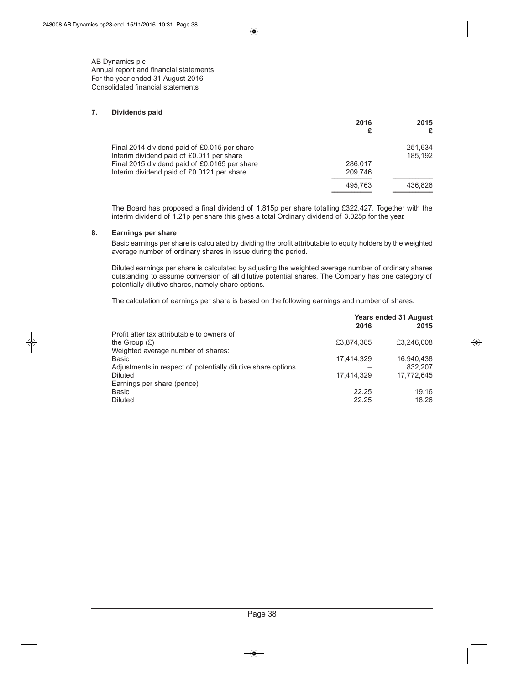# **7. Dividends paid**

|                                               | 2016<br>£ | 2015<br>£ |
|-----------------------------------------------|-----------|-----------|
| Final 2014 dividend paid of £0.015 per share  |           | 251,634   |
| Interim dividend paid of £0.011 per share     |           | 185,192   |
| Final 2015 dividend paid of £0.0165 per share | 286,017   |           |
| Interim dividend paid of £0.0121 per share    | 209.746   |           |
|                                               | 495.763   | 436.826   |
|                                               |           |           |

The Board has proposed a final dividend of 1.815p per share totalling £322,427. Together with the interim dividend of 1.21p per share this gives a total Ordinary dividend of 3.025p for the year.

# **8. Earnings per share**

Basic earnings per share is calculated by dividing the profit attributable to equity holders by the weighted average number of ordinary shares in issue during the period.

Diluted earnings per share is calculated by adjusting the weighted average number of ordinary shares outstanding to assume conversion of all dilutive potential shares. The Company has one category of potentially dilutive shares, namely share options.

The calculation of earnings per share is based on the following earnings and number of shares.

| <b>Years ended 31 August</b><br>2015<br>2016 |
|----------------------------------------------|
|                                              |
| £3,246,008<br>£3,874,385                     |
|                                              |
| 16,940,438<br>17,414,329                     |
| 832,207                                      |
| 17,772,645<br>17,414,329                     |
|                                              |
| 22.25<br>19.16                               |
| 18.26<br>22.25                               |
|                                              |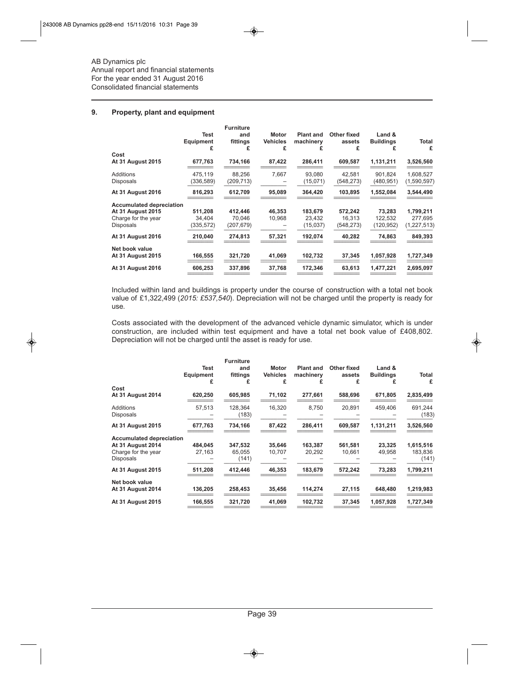#### **9. Property, plant and equipment**

|                                                                                                        | Test<br><b>Equipment</b><br>£  | <b>Furniture</b><br>and<br>fittings | Motor<br><b>Vehicles</b><br>£ | <b>Plant and</b><br>machinery | <b>Other fixed</b><br>assets   | Land &<br><b>Buildings</b>     | Total<br>£                          |
|--------------------------------------------------------------------------------------------------------|--------------------------------|-------------------------------------|-------------------------------|-------------------------------|--------------------------------|--------------------------------|-------------------------------------|
| Cost                                                                                                   |                                |                                     |                               |                               |                                |                                |                                     |
| <b>At 31 August 2015</b>                                                                               | 677,763                        | 734,166                             | 87,422                        | 286,411                       | 609,587                        | 1,131,211                      | 3,526,560                           |
| Additions<br><b>Disposals</b>                                                                          | 475.119<br>(336,589)           | 88,256<br>(209,713)                 | 7,667                         | 93,080<br>(15,071)            | 42,581<br>(548,273)            | 901,824<br>(480,951)           | 1,608,527<br>(1,590,597)            |
| <b>At 31 August 2016</b>                                                                               | 816,293                        | 612,709                             | 95,089                        | 364,420                       | 103,895                        | 1,552,084                      | 3,544,490                           |
| <b>Accumulated depreciation</b><br><b>At 31 August 2015</b><br>Charge for the year<br><b>Disposals</b> | 511,208<br>34,404<br>(335,572) | 412,446<br>70.046<br>(207,679)      | 46,353<br>10,968              | 183,679<br>23,432<br>(15,037) | 572,242<br>16,313<br>(548,273) | 73,283<br>122,532<br>(120,952) | 1,799,211<br>277,695<br>(1,227,513) |
| <b>At 31 August 2016</b>                                                                               | 210,040                        | 274,813                             | 57,321                        | 192,074                       | 40,282                         | 74,863                         | 849,393                             |
| Net book value<br><b>At 31 August 2015</b>                                                             | 166,555                        | 321,720                             | 41,069                        | 102,732                       | 37,345                         | 1,057,928                      | 1,727,349                           |
| <b>At 31 August 2016</b>                                                                               | 606,253                        | 337,896                             | 37,768                        | 172,346                       | 63,613                         | 1,477,221                      | 2,695,097                           |

Included within land and buildings is property under the course of construction with a total net book value of £1,322,499 (*2015: £537,540*). Depreciation will not be charged until the property is ready for use.

Costs associated with the development of the advanced vehicle dynamic simulator, which is under construction, are included within test equipment and have a total net book value of £408,802. Depreciation will not be charged until the asset is ready for use.

|                                 | Test<br><b>Equipment</b> | <b>Furniture</b><br>and<br>fittings | Motor<br><b>Vehicles</b> | <b>Plant and</b><br>machinery | <b>Other fixed</b><br>assets | Land &<br><b>Buildings</b> | Total     |
|---------------------------------|--------------------------|-------------------------------------|--------------------------|-------------------------------|------------------------------|----------------------------|-----------|
|                                 | £                        |                                     | £                        |                               |                              |                            | £         |
| Cost                            |                          |                                     |                          |                               |                              |                            |           |
| <b>At 31 August 2014</b>        | 620,250                  | 605,985                             | 71,102                   | 277,661                       | 588,696                      | 671,805                    | 2,835,499 |
| <b>Additions</b>                | 57,513                   | 128.364                             | 16,320                   | 8,750                         | 20,891                       | 459,406                    | 691,244   |
| Disposals                       |                          | (183)                               |                          |                               |                              |                            | (183)     |
| <b>At 31 August 2015</b>        | 677,763                  | 734,166                             | 87,422                   | 286,411                       | 609,587                      | 1,131,211                  | 3,526,560 |
| <b>Accumulated depreciation</b> |                          |                                     |                          |                               |                              |                            |           |
| <b>At 31 August 2014</b>        | 484,045                  | 347,532                             | 35,646                   | 163,387                       | 561,581                      | 23,325                     | 1,615,516 |
| Charge for the year             | 27,163                   | 65,055                              | 10,707                   | 20,292                        | 10,661                       | 49,958                     | 183,836   |
| Disposals                       |                          | (141)                               |                          |                               |                              |                            | (141)     |
| <b>At 31 August 2015</b>        | 511,208                  | 412,446                             | 46,353                   | 183,679                       | 572,242                      | 73,283                     | 1,799,211 |
| Net book value                  |                          |                                     |                          |                               |                              |                            |           |
| <b>At 31 August 2014</b>        | 136,205                  | 258,453                             | 35,456                   | 114,274                       | 27,115                       | 648,480                    | 1,219,983 |
| <b>At 31 August 2015</b>        | 166,555                  | 321,720                             | 41,069                   | 102,732                       | 37,345                       | 1,057,928                  | 1,727,349 |
|                                 |                          |                                     |                          |                               |                              |                            |           |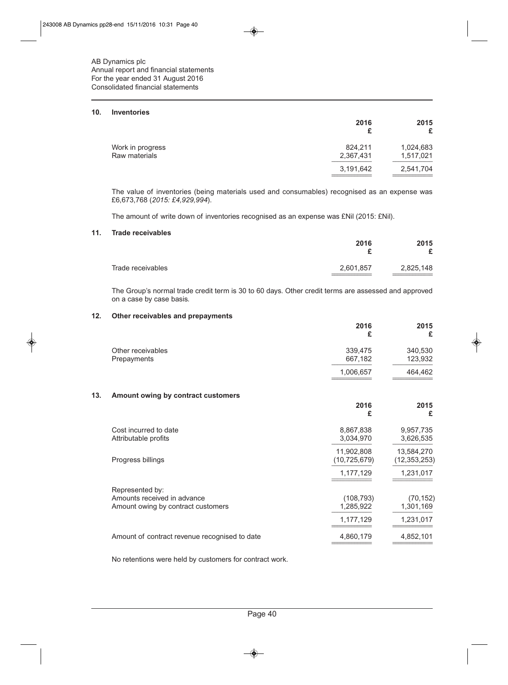#### **10. Inventories**

|                                   | 2016<br>£            | 2015<br>£              |
|-----------------------------------|----------------------|------------------------|
| Work in progress<br>Raw materials | 824,211<br>2,367,431 | 1,024,683<br>1,517,021 |
|                                   | 3,191,642            | 2,541,704              |

The value of inventories (being materials used and consumables) recognised as an expense was £6,673,768 (*2015: £4,929,994*).

The amount of write down of inventories recognised as an expense was £Nil (2015: £Nil).

# **11. Trade receivables**

|                   | 2016<br>£ | 2015      |
|-------------------|-----------|-----------|
| Trade receivables | 2,601,857 | 2,825,148 |

The Group's normal trade credit term is 30 to 60 days. Other credit terms are assessed and approved on a case by case basis.

# **12. Other receivables and prepayments**

|     |                                                                                      | 2016<br>£                            | 2015<br>£                           |
|-----|--------------------------------------------------------------------------------------|--------------------------------------|-------------------------------------|
|     | Other receivables<br>Prepayments                                                     | 339,475<br>667,182                   | 340,530<br>123,932                  |
|     |                                                                                      | 1,006,657                            | 464,462                             |
| 13. | Amount owing by contract customers                                                   |                                      |                                     |
|     |                                                                                      | 2016<br>£                            | 2015<br>£                           |
|     | Cost incurred to date<br>Attributable profits                                        | 8,867,838<br>3,034,970               | 9,957,735<br>3,626,535              |
|     | Progress billings                                                                    | 11,902,808<br>(10, 725, 679)         | 13,584,270<br>(12, 353, 253)        |
|     |                                                                                      | 1,177,129                            | 1,231,017                           |
|     | Represented by:<br>Amounts received in advance<br>Amount owing by contract customers | (108, 793)<br>1,285,922<br>1,177,129 | (70, 152)<br>1,301,169<br>1,231,017 |
|     | Amount of contract revenue recognised to date                                        | 4,860,179                            | 4,852,101                           |
|     |                                                                                      |                                      |                                     |

No retentions were held by customers for contract work.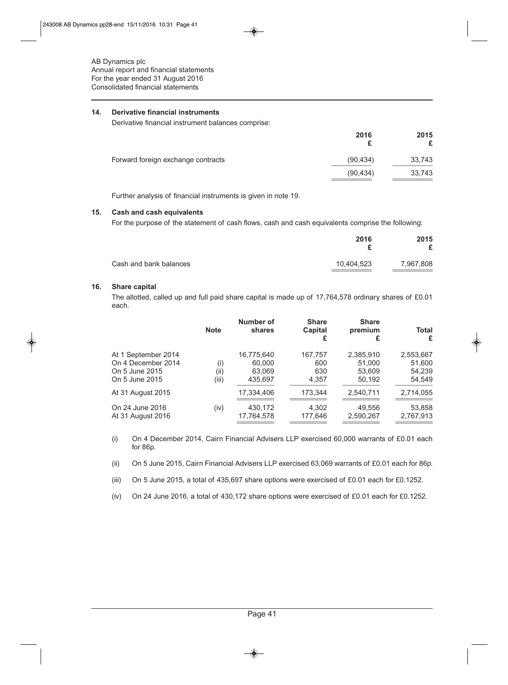# **14. Derivative financial instruments**

Derivative financial instrument balances comprise:

|                                    | 2016      | 2015<br>£ |
|------------------------------------|-----------|-----------|
| Forward foreign exchange contracts | (90, 434) | 33,743    |
|                                    | (90, 434) | 33,743    |

Further analysis of financial instruments is given in note 19.

#### **15. Cash and cash equivalents**

For the purpose of the statement of cash flows, cash and cash equivalents comprise the following:

|                        | 2016<br>c  | 2015<br>£ |
|------------------------|------------|-----------|
| Cash and bank balances | 10,404,523 | 7,967,808 |

## **16. Share capital**

The allotted, called up and full paid share capital is made up of 17,764,578 ordinary shares of £0.01 each.

|                                                                               | <b>Note</b>          | Number of<br>shares                       | <b>Share</b><br>Capital<br>£   | <b>Share</b><br>premium<br>£            | <b>Total</b><br>£                       |
|-------------------------------------------------------------------------------|----------------------|-------------------------------------------|--------------------------------|-----------------------------------------|-----------------------------------------|
| At 1 September 2014<br>On 4 December 2014<br>On 5 June 2015<br>On 5 June 2015 | (i)<br>(ii)<br>(iii) | 16,775,640<br>60,000<br>63,069<br>435,697 | 167,757<br>600<br>630<br>4,357 | 2,385,910<br>51,000<br>53,609<br>50,192 | 2,553,667<br>51,600<br>54,239<br>54.549 |
| At 31 August 2015                                                             |                      | 17,334,406                                | 173,344                        | 2,540,711                               | 2,714,055                               |
| On 24 June 2016<br>At 31 August 2016                                          | (iv)                 | 430,172<br>17,764,578                     | 4,302<br>177,646               | 49,556<br>2,590,267                     | 53,858<br>2,767,913                     |

(i) On 4 December 2014, Cairn Financial Advisers LLP exercised 60,000 warrants of £0.01 each for 86p.

(ii) On 5 June 2015, Cairn Financial Advisers LLP exercised 63,069 warrants of £0.01 each for 86p.

(iii) On 5 June 2015, a total of 435,697 share options were exercised of £0.01 each for £0.1252.

(iv) On 24 June 2016, a total of 430,172 share options were exercised of £0.01 each for £0.1252.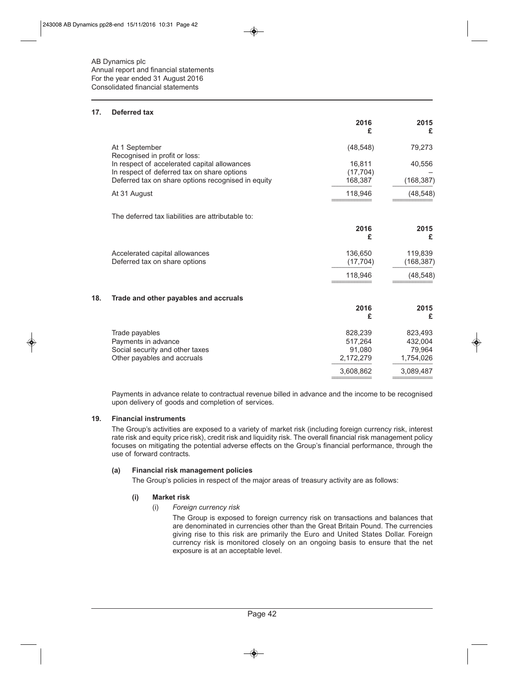#### **17. Deferred tax**

|     |                                                                                             | 2016<br>£            | 2015<br>£             |
|-----|---------------------------------------------------------------------------------------------|----------------------|-----------------------|
|     | At 1 September<br>Recognised in profit or loss:                                             | (48, 548)            | 79,273                |
|     | In respect of accelerated capital allowances<br>In respect of deferred tax on share options | 16,811<br>(17, 704)  | 40,556                |
|     | Deferred tax on share options recognised in equity                                          | 168,387              | (168, 387)            |
|     | At 31 August                                                                                | 118,946              | (48, 548)             |
|     | The deferred tax liabilities are attributable to:                                           |                      |                       |
|     |                                                                                             | 2016<br>£            | 2015<br>£             |
|     | Accelerated capital allowances<br>Deferred tax on share options                             | 136,650<br>(17, 704) | 119,839<br>(168, 387) |
|     |                                                                                             |                      |                       |
|     |                                                                                             | 118,946              | (48, 548)             |
| 18. | Trade and other payables and accruals                                                       |                      |                       |
|     |                                                                                             | 2016<br>£            | 2015<br>£             |
|     | Trade payables                                                                              | 828,239              | 823,493               |
|     | Payments in advance                                                                         | 517,264              | 432,004               |
|     | Social security and other taxes<br>Other payables and accruals                              | 91,080<br>2,172,279  | 79,964<br>1,754,026   |
|     |                                                                                             | 3,608,862            | 3,089,487             |

Payments in advance relate to contractual revenue billed in advance and the income to be recognised upon delivery of goods and completion of services.

## **19. Financial instruments**

The Group's activities are exposed to a variety of market risk (including foreign currency risk, interest rate risk and equity price risk), credit risk and liquidity risk. The overall financial risk management policy focuses on mitigating the potential adverse effects on the Group's financial performance, through the use of forward contracts.

## **(a) Financial risk management policies**

The Group's policies in respect of the major areas of treasury activity are as follows:

## **(i) Market risk**

## (i) *Foreign currency risk*

The Group is exposed to foreign currency risk on transactions and balances that are denominated in currencies other than the Great Britain Pound. The currencies giving rise to this risk are primarily the Euro and United States Dollar. Foreign currency risk is monitored closely on an ongoing basis to ensure that the net exposure is at an acceptable level.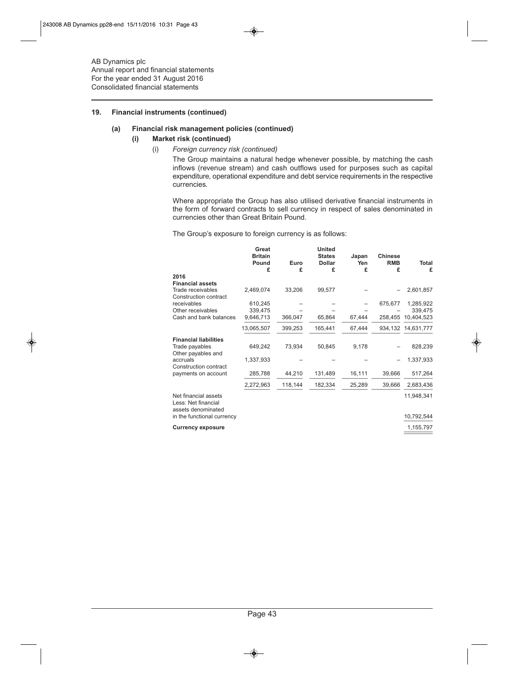#### **(a) Financial risk management policies (continued)**

#### **(i) Market risk (continued)**

(i) *Foreign currency risk (continued)*

The Group maintains a natural hedge whenever possible, by matching the cash inflows (revenue stream) and cash outflows used for purposes such as capital expenditure, operational expenditure and debt service requirements in the respective currencies.

Where appropriate the Group has also utilised derivative financial instruments in the form of forward contracts to sell currency in respect of sales denominated in currencies other than Great Britain Pound.

The Group's exposure to foreign currency is as follows:

|                                                                   | Great<br><b>Britain</b><br>Pound<br>£ | Euro<br>£ | <b>United</b><br><b>States</b><br><b>Dollar</b><br>£ | Japan<br>Yen<br>£ | <b>Chinese</b><br><b>RMB</b><br>£ | Total<br>£ |
|-------------------------------------------------------------------|---------------------------------------|-----------|------------------------------------------------------|-------------------|-----------------------------------|------------|
| 2016                                                              |                                       |           |                                                      |                   |                                   |            |
| <b>Financial assets</b>                                           |                                       |           |                                                      |                   |                                   |            |
| Trade receivables<br>Construction contract                        | 2,469,074                             | 33,206    | 99,577                                               |                   |                                   | 2,601,857  |
| receivables                                                       | 610,245                               |           |                                                      |                   | 675,677                           | 1,285,922  |
| Other receivables                                                 | 339,475                               |           |                                                      |                   |                                   | 339,475    |
| Cash and bank balances                                            | 9,646,713                             | 366,047   | 65,864                                               | 67,444            | 258,455                           | 10,404,523 |
|                                                                   | 13,065,507                            | 399,253   | 165,441                                              | 67,444            | 934,132                           | 14,631,777 |
| <b>Financial liabilities</b>                                      |                                       |           |                                                      |                   |                                   |            |
| Trade payables<br>Other payables and                              | 649,242                               | 73,934    | 50,845                                               | 9,178             |                                   | 828,239    |
| accruals<br>Construction contract                                 | 1,337,933                             |           |                                                      |                   |                                   | 1,337,933  |
| payments on account                                               | 285,788                               | 44,210    | 131,489                                              | 16,111            | 39,666                            | 517,264    |
|                                                                   | 2,272,963                             | 118,144   | 182,334                                              | 25,289            | 39,666                            | 2,683,436  |
| Net financial assets<br>Less: Net financial<br>assets denominated |                                       |           |                                                      |                   |                                   | 11,948,341 |
| in the functional currency                                        |                                       |           |                                                      |                   |                                   | 10,792,544 |
| <b>Currency exposure</b>                                          |                                       |           |                                                      |                   |                                   | 1,155,797  |
|                                                                   |                                       |           |                                                      |                   |                                   |            |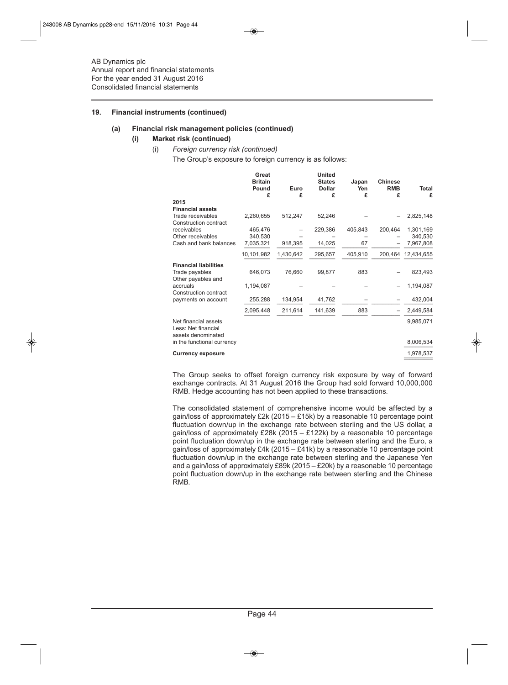# **(a) Financial risk management policies (continued)**

# **(i) Market risk (continued)**

(i) *Foreign currency risk (continued)*

The Group's exposure to foreign currency is as follows:

|                                                                       | Great<br><b>Britain</b><br>Pound<br>£ | Euro<br>£ | <b>United</b><br><b>States</b><br><b>Dollar</b><br>£ | Japan<br>Yen<br>£ | <b>Chinese</b><br><b>RMB</b><br>£ | Total<br>£ |
|-----------------------------------------------------------------------|---------------------------------------|-----------|------------------------------------------------------|-------------------|-----------------------------------|------------|
| 2015                                                                  |                                       |           |                                                      |                   |                                   |            |
| <b>Financial assets</b><br>Trade receivables<br>Construction contract | 2,260,655                             | 512,247   | 52,246                                               |                   |                                   | 2,825,148  |
| receivables                                                           | 465,476                               |           | 229,386                                              | 405,843           | 200,464                           | 1,301,169  |
| Other receivables                                                     | 340.530                               |           |                                                      |                   |                                   | 340,530    |
| Cash and bank balances                                                | 7,035,321                             | 918,395   | 14,025                                               | 67                |                                   | 7,967,808  |
|                                                                       | 10,101,982                            | 1,430,642 | 295,657                                              | 405,910           | 200,464                           | 12,434,655 |
| <b>Financial liabilities</b><br>Trade payables<br>Other payables and  | 646,073                               | 76,660    | 99,877                                               | 883               |                                   | 823,493    |
| accruals<br>Construction contract                                     | 1,194,087                             |           |                                                      |                   |                                   | 1,194,087  |
| payments on account                                                   | 255,288                               | 134,954   | 41,762                                               |                   |                                   | 432,004    |
|                                                                       | 2,095,448                             | 211,614   | 141,639                                              | 883               |                                   | 2,449,584  |
| Net financial assets<br>Less: Net financial<br>assets denominated     |                                       |           |                                                      |                   |                                   | 9,985,071  |
| in the functional currency                                            |                                       |           |                                                      |                   |                                   | 8,006,534  |
| <b>Currency exposure</b>                                              |                                       |           |                                                      |                   |                                   | 1,978,537  |

The Group seeks to offset foreign currency risk exposure by way of forward exchange contracts. At 31 August 2016 the Group had sold forward 10,000,000 RMB. Hedge accounting has not been applied to these transactions.

The consolidated statement of comprehensive income would be affected by a gain/loss of approximately £2k (2015 – £15k) by a reasonable 10 percentage point fluctuation down/up in the exchange rate between sterling and the US dollar, a gain/loss of approximately £28k (2015 – £122k) by a reasonable 10 percentage point fluctuation down/up in the exchange rate between sterling and the Euro, a gain/loss of approximately £4k (2015 – £41k) by a reasonable 10 percentage point fluctuation down/up in the exchange rate between sterling and the Japanese Yen and a gain/loss of approximately £89k (2015 – £20k) by a reasonable 10 percentage point fluctuation down/up in the exchange rate between sterling and the Chinese RMB.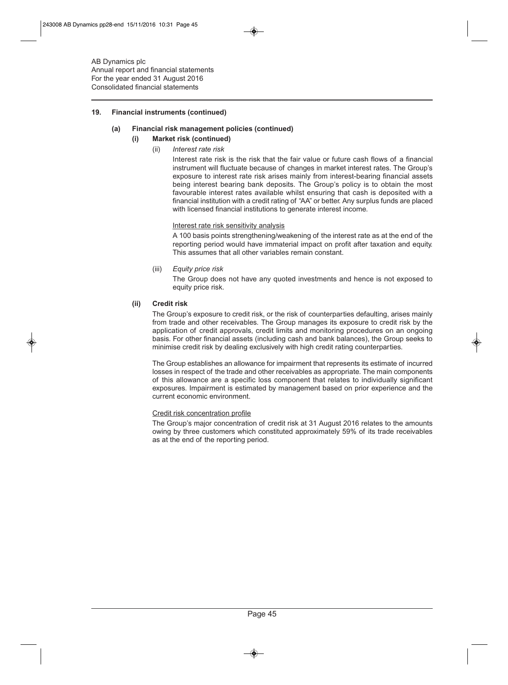# **(a) Financial risk management policies (continued)**

- **(i) Market risk (continued)**
	- (ii) *Interest rate risk*

Interest rate risk is the risk that the fair value or future cash flows of a financial instrument will fluctuate because of changes in market interest rates. The Group's exposure to interest rate risk arises mainly from interest-bearing financial assets being interest bearing bank deposits. The Group's policy is to obtain the most favourable interest rates available whilst ensuring that cash is deposited with a financial institution with a credit rating of "AA" or better. Any surplus funds are placed with licensed financial institutions to generate interest income.

## Interest rate risk sensitivity analysis

A 100 basis points strengthening/weakening of the interest rate as at the end of the reporting period would have immaterial impact on profit after taxation and equity. This assumes that all other variables remain constant.

(iii) *Equity price risk*

The Group does not have any quoted investments and hence is not exposed to equity price risk.

# **(ii) Credit risk**

The Group's exposure to credit risk, or the risk of counterparties defaulting, arises mainly from trade and other receivables. The Group manages its exposure to credit risk by the application of credit approvals, credit limits and monitoring procedures on an ongoing basis. For other financial assets (including cash and bank balances), the Group seeks to minimise credit risk by dealing exclusively with high credit rating counterparties.

The Group establishes an allowance for impairment that represents its estimate of incurred losses in respect of the trade and other receivables as appropriate. The main components of this allowance are a specific loss component that relates to individually significant exposures. Impairment is estimated by management based on prior experience and the current economic environment.

## Credit risk concentration profile

The Group's major concentration of credit risk at 31 August 2016 relates to the amounts owing by three customers which constituted approximately 59% of its trade receivables as at the end of the reporting period.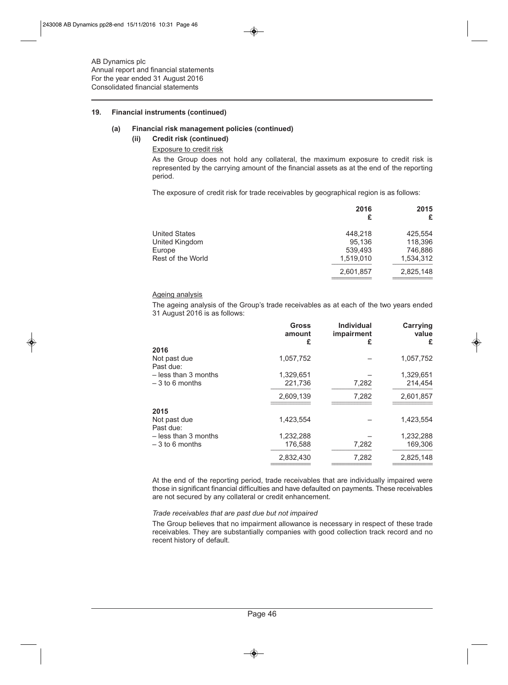#### **(a) Financial risk management policies (continued)**

**(ii) Credit risk (continued)**

Exposure to credit risk

As the Group does not hold any collateral, the maximum exposure to credit risk is represented by the carrying amount of the financial assets as at the end of the reporting period.

The exposure of credit risk for trade receivables by geographical region is as follows:

|                      | 2016<br>£ | 2015<br>£ |
|----------------------|-----------|-----------|
| <b>United States</b> | 448,218   | 425,554   |
| United Kingdom       | 95,136    | 118,396   |
| Europe               | 539,493   | 746,886   |
| Rest of the World    | 1,519,010 | 1,534,312 |
|                      | 2,601,857 | 2,825,148 |
|                      |           |           |

#### Ageing analysis

The ageing analysis of the Group's trade receivables as at each of the two years ended 31 August 2016 is as follows:

|                           | <b>Gross</b><br>amount<br>£ | <b>Individual</b><br>impairment<br>£ | Carrying<br>value<br>£ |
|---------------------------|-----------------------------|--------------------------------------|------------------------|
| 2016                      |                             |                                      |                        |
| Not past due<br>Past due: | 1,057,752                   |                                      | 1,057,752              |
| $-$ less than 3 months    | 1,329,651                   |                                      | 1,329,651              |
| $-3$ to 6 months          | 221,736                     | 7,282                                | 214,454                |
|                           | 2,609,139                   | 7,282                                | 2,601,857              |
| 2015                      |                             |                                      |                        |
| Not past due<br>Past due: | 1,423,554                   |                                      | 1,423,554              |
| - less than 3 months      | 1,232,288                   |                                      | 1,232,288              |
| $-3$ to 6 months          | 176,588                     | 7,282                                | 169,306                |
|                           | 2,832,430                   | 7,282                                | 2,825,148              |
|                           |                             |                                      |                        |

At the end of the reporting period, trade receivables that are individually impaired were those in significant financial difficulties and have defaulted on payments. These receivables are not secured by any collateral or credit enhancement.

#### *Trade receivables that are past due but not impaired*

The Group believes that no impairment allowance is necessary in respect of these trade receivables. They are substantially companies with good collection track record and no recent history of default.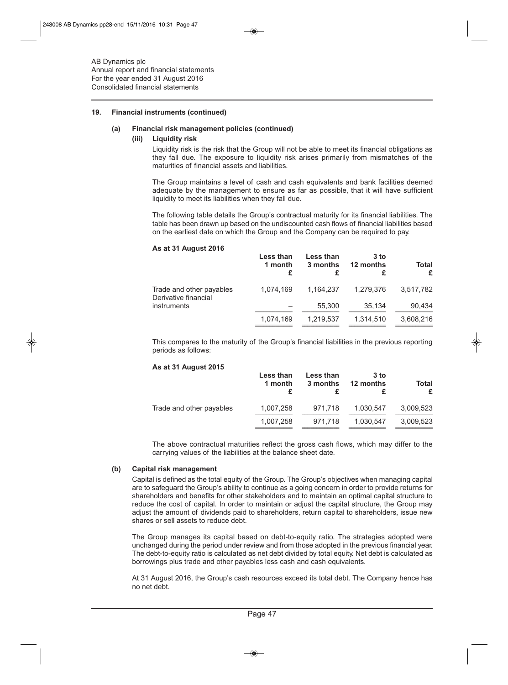#### **(a) Financial risk management policies (continued)**

#### **(iii) Liquidity risk**

Liquidity risk is the risk that the Group will not be able to meet its financial obligations as they fall due. The exposure to liquidity risk arises primarily from mismatches of the maturities of financial assets and liabilities.

The Group maintains a level of cash and cash equivalents and bank facilities deemed adequate by the management to ensure as far as possible, that it will have sufficient liquidity to meet its liabilities when they fall due.

The following table details the Group's contractual maturity for its financial liabilities. The table has been drawn up based on the undiscounted cash flows of financial liabilities based on the earliest date on which the Group and the Company can be required to pay.

#### **As at 31 August 2016**

| <b>Less than</b><br>1 month<br>£ | <b>Less than</b><br>3 months<br>£ | $3$ to<br>12 months | Total<br>£ |
|----------------------------------|-----------------------------------|---------------------|------------|
| 1,074,169                        | 1.164.237                         | 1,279,376           | 3,517,782  |
|                                  | 55,300                            | 35.134              | 90.434     |
| 1,074,169                        | 1,219,537                         | 1,314,510           | 3.608.216  |
|                                  |                                   |                     |            |

This compares to the maturity of the Group's financial liabilities in the previous reporting periods as follows:

#### **As at 31 August 2015**

| Less than<br>1 month | Less than<br>3 months | $3$ to<br><b>12 months</b> | Total<br>£ |
|----------------------|-----------------------|----------------------------|------------|
| 1,007,258            | 971,718               | 1,030,547                  | 3.009.523  |
| 1,007,258            | 971,718               | 1,030,547                  | 3,009,523  |
|                      |                       |                            |            |

The above contractual maturities reflect the gross cash flows, which may differ to the carrying values of the liabilities at the balance sheet date.

#### **(b) Capital risk management**

Capital is defined as the total equity of the Group. The Group's objectives when managing capital are to safeguard the Group's ability to continue as a going concern in order to provide returns for shareholders and benefits for other stakeholders and to maintain an optimal capital structure to reduce the cost of capital. In order to maintain or adjust the capital structure, the Group may adjust the amount of dividends paid to shareholders, return capital to shareholders, issue new shares or sell assets to reduce debt.

The Group manages its capital based on debt-to-equity ratio. The strategies adopted were unchanged during the period under review and from those adopted in the previous financial year. The debt-to-equity ratio is calculated as net debt divided by total equity. Net debt is calculated as borrowings plus trade and other payables less cash and cash equivalents.

At 31 August 2016, the Group's cash resources exceed its total debt. The Company hence has no net debt.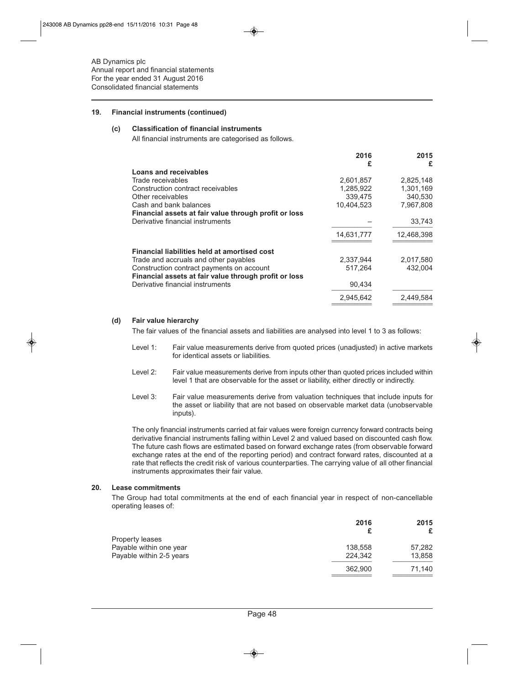#### **(c) Classification of financial instruments**

All financial instruments are categorised as follows.

|                                                       | 2016       | 2015       |
|-------------------------------------------------------|------------|------------|
|                                                       | £          | £          |
| Loans and receivables                                 |            |            |
| Trade receivables                                     | 2,601,857  | 2,825,148  |
| Construction contract receivables                     | 1,285,922  | 1,301,169  |
| Other receivables                                     | 339,475    | 340,530    |
| Cash and bank balances                                | 10,404,523 | 7,967,808  |
| Financial assets at fair value through profit or loss |            |            |
| Derivative financial instruments                      |            | 33,743     |
|                                                       | 14,631,777 | 12,468,398 |
| Financial liabilities held at amortised cost          |            |            |
| Trade and accruals and other payables                 | 2,337,944  | 2,017,580  |
| Construction contract payments on account             | 517,264    | 432,004    |
| Financial assets at fair value through profit or loss |            |            |
| Derivative financial instruments                      | 90,434     |            |
|                                                       | 2,945,642  | 2,449,584  |
|                                                       |            |            |

#### **(d) Fair value hierarchy**

The fair values of the financial assets and liabilities are analysed into level 1 to 3 as follows:

- Level 1: Fair value measurements derive from quoted prices (unadjusted) in active markets for identical assets or liabilities.
- Level 2: Fair value measurements derive from inputs other than quoted prices included within level 1 that are observable for the asset or liability, either directly or indirectly.
- Level 3: Fair value measurements derive from valuation techniques that include inputs for the asset or liability that are not based on observable market data (unobservable inputs).

The only financial instruments carried at fair values were foreign currency forward contracts being derivative financial instruments falling within Level 2 and valued based on discounted cash flow. The future cash flows are estimated based on forward exchange rates (from observable forward exchange rates at the end of the reporting period) and contract forward rates, discounted at a rate that reflects the credit risk of various counterparties. The carrying value of all other financial instruments approximates their fair value.

#### **20. Lease commitments**

The Group had total commitments at the end of each financial year in respect of non-cancellable operating leases of:

|                          | 2016    | 2015<br>£ |
|--------------------------|---------|-----------|
| Property leases          |         |           |
| Payable within one year  | 138,558 | 57,282    |
| Payable within 2-5 years | 224,342 | 13,858    |
|                          | 362,900 | 71,140    |
|                          |         |           |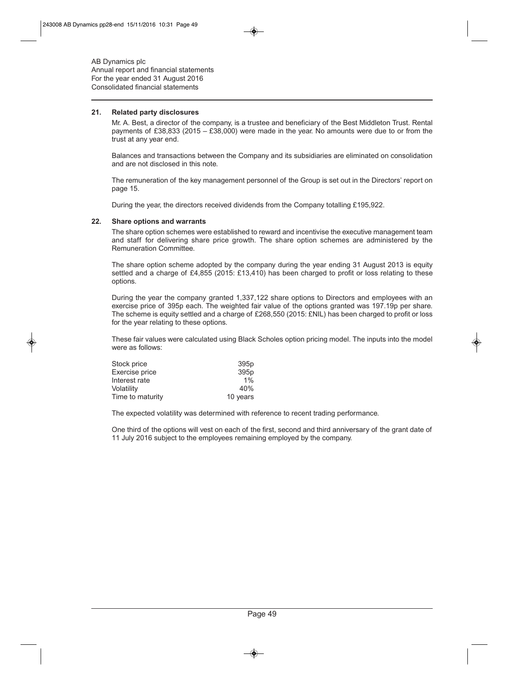#### **21. Related party disclosures**

Mr. A. Best, a director of the company, is a trustee and beneficiary of the Best Middleton Trust. Rental payments of £38,833 (2015 – £38,000) were made in the year. No amounts were due to or from the trust at any year end.

Balances and transactions between the Company and its subsidiaries are eliminated on consolidation and are not disclosed in this note.

The remuneration of the key management personnel of the Group is set out in the Directors' report on page 15.

During the year, the directors received dividends from the Company totalling £195,922.

#### **22. Share options and warrants**

The share option schemes were established to reward and incentivise the executive management team and staff for delivering share price growth. The share option schemes are administered by the Remuneration Committee.

The share option scheme adopted by the company during the year ending 31 August 2013 is equity settled and a charge of £4,855 (2015: £13,410) has been charged to profit or loss relating to these options.

During the year the company granted 1,337,122 share options to Directors and employees with an exercise price of 395p each. The weighted fair value of the options granted was 197.19p per share. The scheme is equity settled and a charge of £268,550 (2015: £NIL) has been charged to profit or loss for the year relating to these options.

These fair values were calculated using Black Scholes option pricing model. The inputs into the model were as follows:

| Stock price      | 395 <sub>p</sub> |
|------------------|------------------|
| Exercise price   | 395 <sub>p</sub> |
| Interest rate    | 1%               |
| Volatility       | 40%              |
| Time to maturity | 10 years         |

The expected volatility was determined with reference to recent trading performance.

One third of the options will vest on each of the first, second and third anniversary of the grant date of 11 July 2016 subject to the employees remaining employed by the company.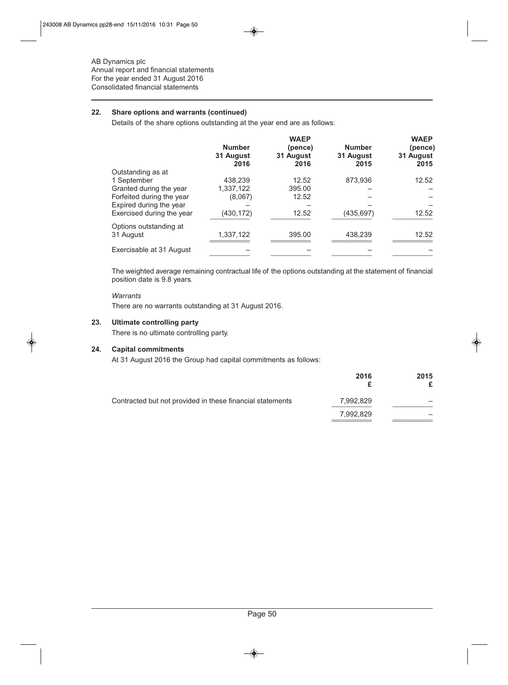# **22. Share options and warrants (continued)**

Details of the share options outstanding at the year end are as follows:

|                                     | <b>Number</b><br>31 August<br>2016 | <b>WAEP</b><br>(pence)<br>31 August<br>2016 | <b>Number</b><br>31 August<br>2015 | <b>WAEP</b><br>(pence)<br>31 August<br>2015 |
|-------------------------------------|------------------------------------|---------------------------------------------|------------------------------------|---------------------------------------------|
| Outstanding as at                   |                                    |                                             |                                    |                                             |
| 1 September                         | 438,239                            | 12.52                                       | 873,936                            | 12.52                                       |
| Granted during the year             | 1,337,122                          | 395.00                                      |                                    |                                             |
| Forfeited during the year           | (8,067)                            | 12.52                                       |                                    |                                             |
| Expired during the year             |                                    |                                             |                                    |                                             |
| Exercised during the year           | (430, 172)                         | 12.52                                       | (435,697)                          | 12.52                                       |
| Options outstanding at<br>31 August | 1,337,122                          | 395.00                                      | 438,239                            | 12.52                                       |
| Exercisable at 31 August            |                                    |                                             |                                    |                                             |

The weighted average remaining contractual life of the options outstanding at the statement of financial position date is 9.8 years.

## *Warrants*

There are no warrants outstanding at 31 August 2016.

# **23. Ultimate controlling party**

There is no ultimate controlling party.

# **24. Capital commitments**

At 31 August 2016 the Group had capital commitments as follows:

|                                                           | 2016      | 2015 |
|-----------------------------------------------------------|-----------|------|
| Contracted but not provided in these financial statements | 7,992,829 |      |
|                                                           | 7,992,829 |      |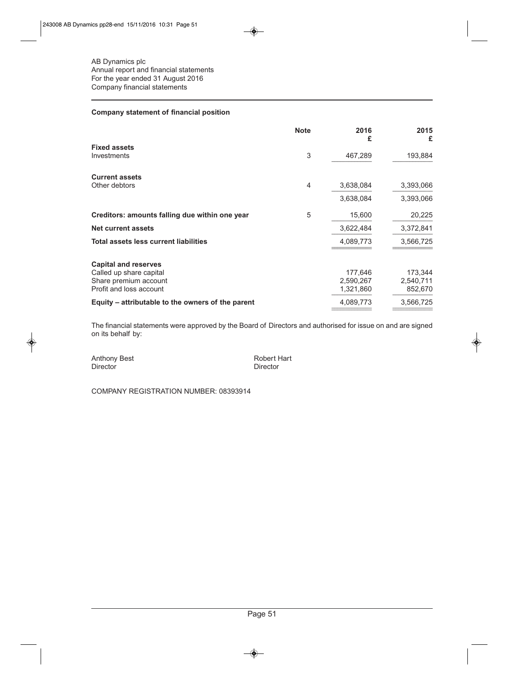## **Company statement of financial position**

| <b>Note</b> | 2016      | 2015<br>£ |
|-------------|-----------|-----------|
| 3           | 467,289   | 193,884   |
| 4           | 3,638,084 | 3,393,066 |
|             | 3,638,084 | 3,393,066 |
| 5           | 15,600    | 20,225    |
|             | 3,622,484 | 3,372,841 |
|             | 4,089,773 | 3,566,725 |
|             |           |           |
|             | 177,646   | 173,344   |
|             | 2,590,267 | 2,540,711 |
|             | 1,321,860 | 852,670   |
|             | 4,089,773 | 3,566,725 |
|             |           | £         |

The financial statements were approved by the Board of Directors and authorised for issue on and are signed on its behalf by:

Anthony Best **Robert Hart** Robert Hart<br>
Director **Director** Director

COMPANY REGISTRATION NUMBER: 08393914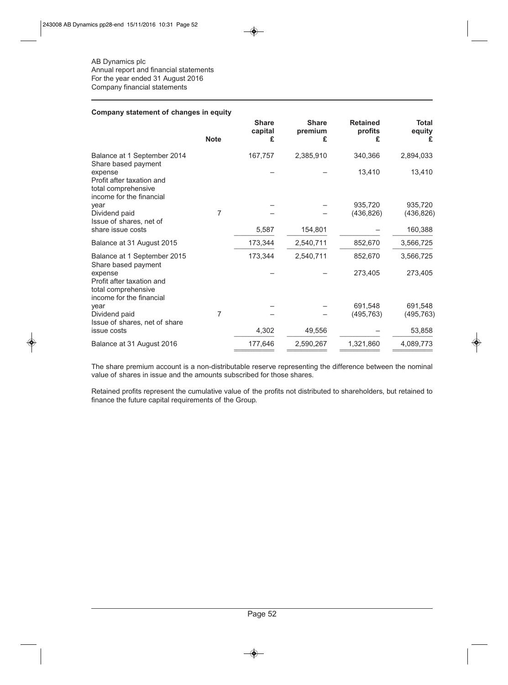**Company statement of changes in equity**

| <b>Note</b> | <b>Share</b><br>capital<br>£ | <b>Share</b><br>premium<br>£ | <b>Retained</b><br>profits<br>£ | <b>Total</b><br>equity<br>£ |
|-------------|------------------------------|------------------------------|---------------------------------|-----------------------------|
|             | 167,757                      | 2,385,910                    | 340,366                         | 2,894,033                   |
|             |                              |                              | 13,410                          | 13,410                      |
| 7           |                              |                              | 935,720<br>(436, 826)           | 935,720<br>(436, 826)       |
|             | 5,587                        | 154,801                      |                                 | 160,388                     |
|             | 173,344                      | 2,540,711                    | 852,670                         | 3,566,725                   |
|             | 173,344                      | 2,540,711                    | 852,670                         | 3,566,725                   |
|             |                              |                              | 273,405                         | 273,405                     |
|             |                              |                              | 691,548                         | 691.548                     |
| 7           |                              |                              |                                 | (495, 763)                  |
|             | 4,302                        | 49,556                       |                                 | 53,858                      |
|             | 177,646                      | 2,590,267                    | 1,321,860                       | 4,089,773                   |
|             |                              |                              |                                 | (495, 763)                  |

The share premium account is a non-distributable reserve representing the difference between the nominal value of shares in issue and the amounts subscribed for those shares.

Retained profits represent the cumulative value of the profits not distributed to shareholders, but retained to finance the future capital requirements of the Group.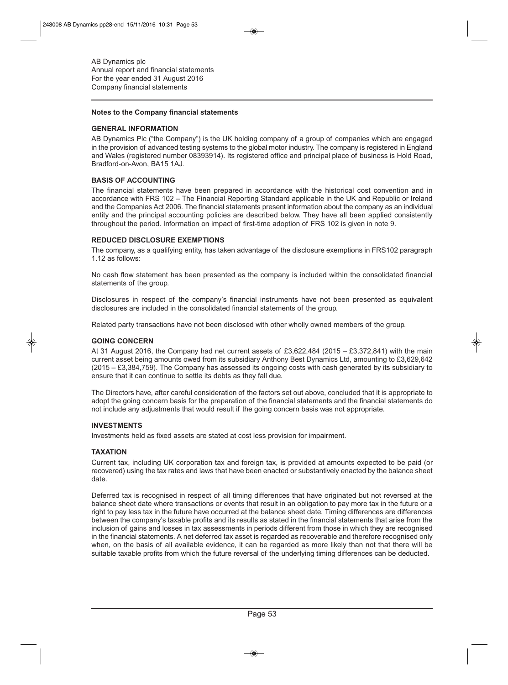#### **Notes to the Company financial statements**

## **GENERAL INFORMATION**

AB Dynamics Plc ("the Company") is the UK holding company of a group of companies which are engaged in the provision of advanced testing systems to the global motor industry. The company is registered in England and Wales (registered number 08393914). Its registered office and principal place of business is Hold Road, Bradford-on-Avon, BA15 1AJ.

## **BASIS OF ACCOUNTING**

The financial statements have been prepared in accordance with the historical cost convention and in accordance with FRS 102 – The Financial Reporting Standard applicable in the UK and Republic or Ireland and the Companies Act 2006. The financial statements present information about the company as an individual entity and the principal accounting policies are described below. They have all been applied consistently throughout the period. Information on impact of first-time adoption of FRS 102 is given in note 9.

#### **REDUCED DISCLOSURE EXEMPTIONS**

The company, as a qualifying entity, has taken advantage of the disclosure exemptions in FRS102 paragraph 1.12 as follows:

No cash flow statement has been presented as the company is included within the consolidated financial statements of the group.

Disclosures in respect of the company's financial instruments have not been presented as equivalent disclosures are included in the consolidated financial statements of the group.

Related party transactions have not been disclosed with other wholly owned members of the group.

#### **GOING CONCERN**

At 31 August 2016, the Company had net current assets of £3,622,484 (2015 – £3,372,841) with the main current asset being amounts owed from its subsidiary Anthony Best Dynamics Ltd, amounting to £3,629,642  $(2015 - \text{\textsterling}3,384,759)$ . The Company has assessed its ongoing costs with cash generated by its subsidiary to ensure that it can continue to settle its debts as they fall due.

The Directors have, after careful consideration of the factors set out above, concluded that it is appropriate to adopt the going concern basis for the preparation of the financial statements and the financial statements do not include any adjustments that would result if the going concern basis was not appropriate.

#### **INVESTMENTS**

Investments held as fixed assets are stated at cost less provision for impairment.

#### **TAXATION**

Current tax, including UK corporation tax and foreign tax, is provided at amounts expected to be paid (or recovered) using the tax rates and laws that have been enacted or substantively enacted by the balance sheet date.

Deferred tax is recognised in respect of all timing differences that have originated but not reversed at the balance sheet date where transactions or events that result in an obligation to pay more tax in the future or a right to pay less tax in the future have occurred at the balance sheet date. Timing differences are differences between the company's taxable profits and its results as stated in the financial statements that arise from the inclusion of gains and losses in tax assessments in periods different from those in which they are recognised in the financial statements. A net deferred tax asset is regarded as recoverable and therefore recognised only when, on the basis of all available evidence, it can be regarded as more likely than not that there will be suitable taxable profits from which the future reversal of the underlying timing differences can be deducted.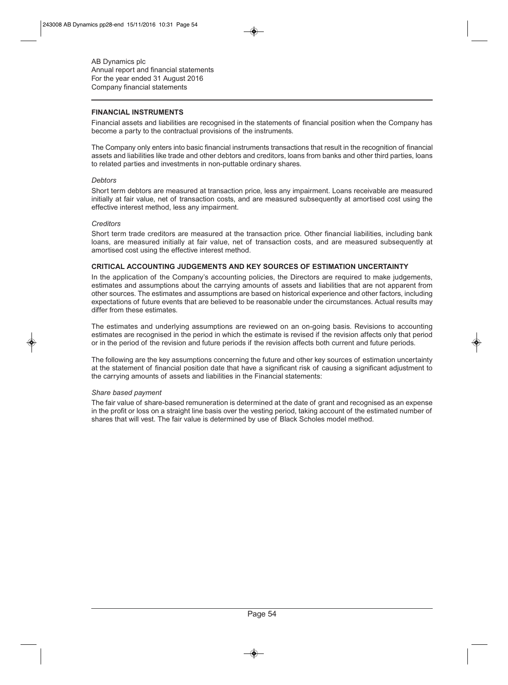## **FINANCIAL INSTRUMENTS**

Financial assets and liabilities are recognised in the statements of financial position when the Company has become a party to the contractual provisions of the instruments.

The Company only enters into basic financial instruments transactions that result in the recognition of financial assets and liabilities like trade and other debtors and creditors, loans from banks and other third parties, loans to related parties and investments in non-puttable ordinary shares.

#### *Debtors*

Short term debtors are measured at transaction price, less any impairment. Loans receivable are measured initially at fair value, net of transaction costs, and are measured subsequently at amortised cost using the effective interest method, less any impairment.

#### *Creditors*

Short term trade creditors are measured at the transaction price. Other financial liabilities, including bank loans, are measured initially at fair value, net of transaction costs, and are measured subsequently at amortised cost using the effective interest method.

#### **CRITICAL ACCOUNTING JUDGEMENTS AND KEY SOURCES OF ESTIMATION UNCERTAINTY**

In the application of the Company's accounting policies, the Directors are required to make judgements, estimates and assumptions about the carrying amounts of assets and liabilities that are not apparent from other sources. The estimates and assumptions are based on historical experience and other factors, including expectations of future events that are believed to be reasonable under the circumstances. Actual results may differ from these estimates.

The estimates and underlying assumptions are reviewed on an on-going basis. Revisions to accounting estimates are recognised in the period in which the estimate is revised if the revision affects only that period or in the period of the revision and future periods if the revision affects both current and future periods.

The following are the key assumptions concerning the future and other key sources of estimation uncertainty at the statement of financial position date that have a significant risk of causing a significant adjustment to the carrying amounts of assets and liabilities in the Financial statements:

#### *Share based payment*

The fair value of share-based remuneration is determined at the date of grant and recognised as an expense in the profit or loss on a straight line basis over the vesting period, taking account of the estimated number of shares that will vest. The fair value is determined by use of Black Scholes model method.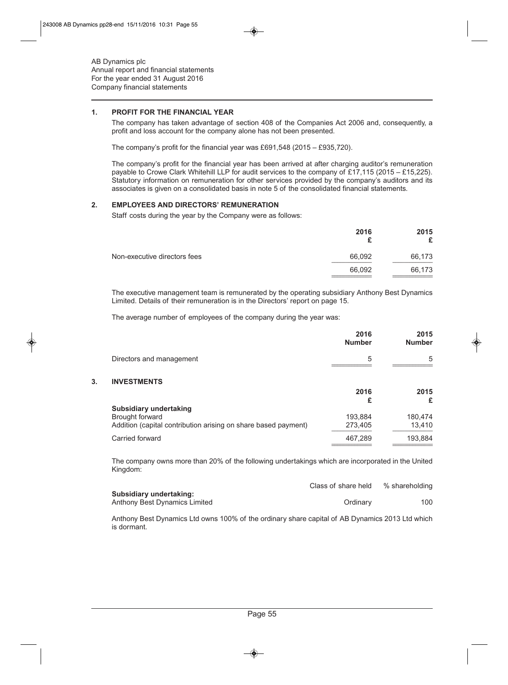# **1. PROFIT FOR THE FINANCIAL YEAR**

The company has taken advantage of section 408 of the Companies Act 2006 and, consequently, a profit and loss account for the company alone has not been presented.

The company's profit for the financial year was £691,548 (2015 – £935,720).

The company's profit for the financial year has been arrived at after charging auditor's remuneration payable to Crowe Clark Whitehill LLP for audit services to the company of £17,115 (2015 – £15,225). Statutory information on remuneration for other services provided by the company's auditors and its associates is given on a consolidated basis in note 5 of the consolidated financial statements.

## **2. EMPLOYEES AND DIRECTORS' REMUNERATION**

Staff costs during the year by the Company were as follows:

|                              | 2016<br>£ | 2015<br>£ |
|------------------------------|-----------|-----------|
| Non-executive directors fees | 66,092    | 66,173    |
|                              | 66,092    | 66,173    |

The executive management team is remunerated by the operating subsidiary Anthony Best Dynamics Limited. Details of their remuneration is in the Directors' report on page 15.

The average number of employees of the company during the year was:

|    |                                                                | 2016<br><b>Number</b> | 2015<br><b>Number</b> |
|----|----------------------------------------------------------------|-----------------------|-----------------------|
|    | Directors and management                                       | 5                     | 5                     |
| 3. | <b>INVESTMENTS</b>                                             |                       |                       |
|    |                                                                | 2016                  | 2015                  |
|    |                                                                | £                     | £                     |
|    | <b>Subsidiary undertaking</b>                                  |                       |                       |
|    | Brought forward                                                | 193,884               | 180,474               |
|    | Addition (capital contribution arising on share based payment) | 273,405               | 13,410                |
|    | Carried forward                                                | 467,289               | 193,884               |
|    |                                                                |                       |                       |

The company owns more than 20% of the following undertakings which are incorporated in the United Kingdom:

|                               | Class of share held | % shareholding |
|-------------------------------|---------------------|----------------|
| Subsidiary undertaking:       |                     |                |
| Anthony Best Dynamics Limited | Ordinary            | 100            |

Anthony Best Dynamics Ltd owns 100% of the ordinary share capital of AB Dynamics 2013 Ltd which is dormant.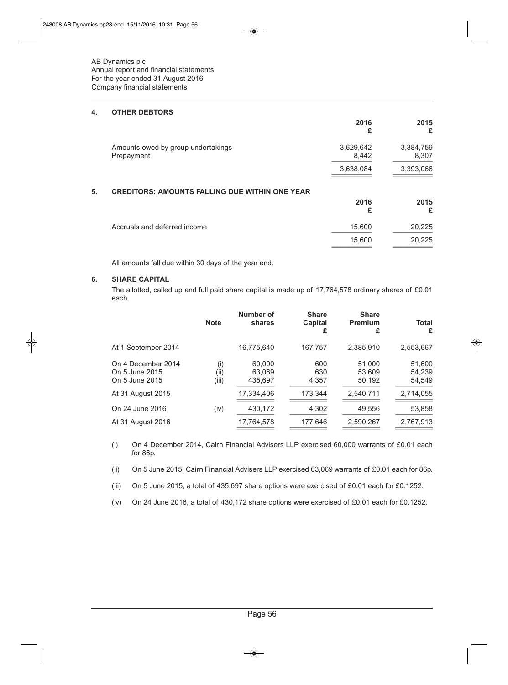# **4. OTHER DEBTORS**

|    |                                                       | 2016<br>£          | 2015<br>£          |
|----|-------------------------------------------------------|--------------------|--------------------|
|    | Amounts owed by group undertakings<br>Prepayment      | 3,629,642<br>8,442 | 3,384,759<br>8,307 |
|    |                                                       | 3,638,084          | 3,393,066          |
| 5. | <b>CREDITORS: AMOUNTS FALLING DUE WITHIN ONE YEAR</b> |                    |                    |
|    |                                                       | 2016<br>£          | 2015<br>£          |
|    | Accruals and deferred income                          | 15,600             | 20,225             |
|    |                                                       | 15,600             | 20,225             |

All amounts fall due within 30 days of the year end.

# **6. SHARE CAPITAL**

The allotted, called up and full paid share capital is made up of 17,764,578 ordinary shares of £0.01 each.

|                                                        | <b>Note</b>           | Number of<br>shares         | <b>Share</b><br>Capital<br>£ | <b>Share</b><br><b>Premium</b><br>£ | <b>Total</b><br>£          |
|--------------------------------------------------------|-----------------------|-----------------------------|------------------------------|-------------------------------------|----------------------------|
| At 1 September 2014                                    |                       | 16,775,640                  | 167,757                      | 2,385,910                           | 2,553,667                  |
| On 4 December 2014<br>On 5 June 2015<br>On 5 June 2015 | (i)<br>(iii)<br>(iii) | 60,000<br>63.069<br>435.697 | 600<br>630<br>4,357          | 51,000<br>53,609<br>50,192          | 51,600<br>54,239<br>54,549 |
| At 31 August 2015                                      |                       | 17.334.406                  | 173,344                      | 2.540.711                           | 2.714.055                  |
| On 24 June 2016                                        | (iv)                  | 430,172                     | 4,302                        | 49,556                              | 53,858                     |
| At 31 August 2016                                      |                       | 17,764,578                  | 177,646                      | 2,590,267                           | 2,767,913                  |

(i) On 4 December 2014, Cairn Financial Advisers LLP exercised 60,000 warrants of £0.01 each for 86p.

(ii) On 5 June 2015, Cairn Financial Advisers LLP exercised 63,069 warrants of £0.01 each for 86p.

(iii) On 5 June 2015, a total of 435,697 share options were exercised of £0.01 each for £0.1252.

(iv) On 24 June 2016, a total of 430,172 share options were exercised of £0.01 each for £0.1252.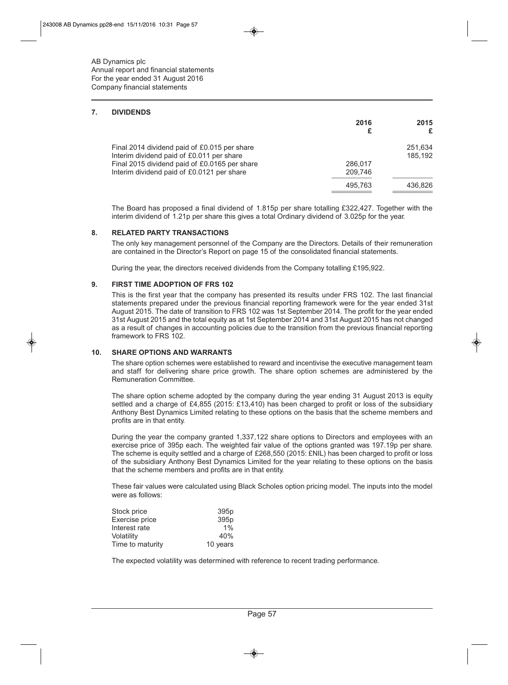# **7. DIVIDENDS**

| 2016<br>£ | 2015<br>£ |
|-----------|-----------|
|           | 251,634   |
|           | 185,192   |
| 286,017   |           |
| 209.746   |           |
| 495.763   | 436,826   |
|           |           |

The Board has proposed a final dividend of 1.815p per share totalling £322,427. Together with the interim dividend of 1.21p per share this gives a total Ordinary dividend of 3.025p for the year.

#### **8. RELATED PARTY TRANSACTIONS**

The only key management personnel of the Company are the Directors. Details of their remuneration are contained in the Director's Report on page 15 of the consolidated financial statements.

During the year, the directors received dividends from the Company totalling £195,922.

#### **9. FIRST TIME ADOPTION OF FRS 102**

This is the first year that the company has presented its results under FRS 102. The last financial statements prepared under the previous financial reporting framework were for the year ended 31st August 2015. The date of transition to FRS 102 was 1st September 2014. The profit for the year ended 31st August 2015 and the total equity as at 1st September 2014 and 31st August 2015 has not changed as a result of changes in accounting policies due to the transition from the previous financial reporting framework to FRS 102.

#### **10. SHARE OPTIONS AND WARRANTS**

The share option schemes were established to reward and incentivise the executive management team and staff for delivering share price growth. The share option schemes are administered by the Remuneration Committee.

The share option scheme adopted by the company during the year ending 31 August 2013 is equity settled and a charge of £4,855 (2015: £13,410) has been charged to profit or loss of the subsidiary Anthony Best Dynamics Limited relating to these options on the basis that the scheme members and profits are in that entity.

During the year the company granted 1,337,122 share options to Directors and employees with an exercise price of 395p each. The weighted fair value of the options granted was 197.19p per share. The scheme is equity settled and a charge of £268,550 (2015: £NIL) has been charged to profit or loss of the subsidiary Anthony Best Dynamics Limited for the year relating to these options on the basis that the scheme members and profits are in that entity.

These fair values were calculated using Black Scholes option pricing model. The inputs into the model were as follows:

| Stock price      | 395 <sub>p</sub> |
|------------------|------------------|
| Exercise price   | 395 <sub>p</sub> |
| Interest rate    | $1\%$            |
| Volatility       | 40%              |
| Time to maturity | 10 years         |

The expected volatility was determined with reference to recent trading performance.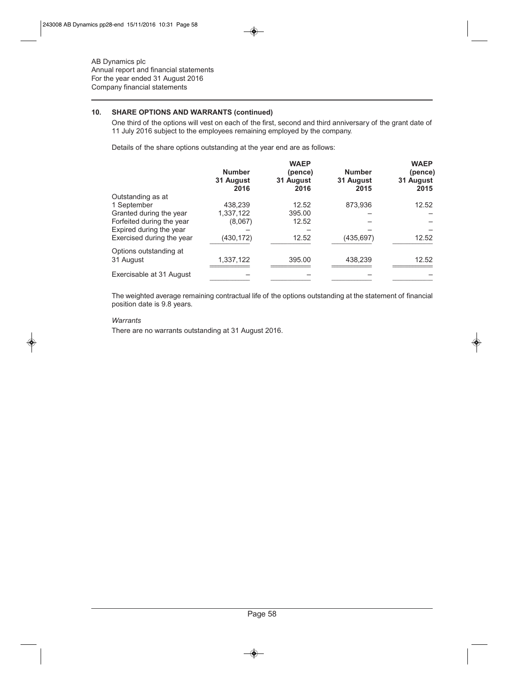# **10. SHARE OPTIONS AND WARRANTS (continued)**

One third of the options will vest on each of the first, second and third anniversary of the grant date of 11 July 2016 subject to the employees remaining employed by the company.

Details of the share options outstanding at the year end are as follows:

|                                     | <b>Number</b><br>31 August<br>2016 | <b>WAEP</b><br>(pence)<br>31 August<br>2016 | <b>Number</b><br>31 August<br>2015 | <b>WAEP</b><br>(pence)<br>31 August<br>2015 |
|-------------------------------------|------------------------------------|---------------------------------------------|------------------------------------|---------------------------------------------|
| Outstanding as at                   |                                    |                                             |                                    |                                             |
| 1 September                         | 438,239                            | 12.52                                       | 873,936                            | 12.52                                       |
| Granted during the year             | 1,337,122                          | 395.00                                      |                                    |                                             |
| Forfeited during the year           | (8,067)                            | 12.52                                       |                                    |                                             |
| Expired during the year             |                                    |                                             |                                    |                                             |
| Exercised during the year           | (430, 172)                         | 12.52                                       | (435, 697)                         | 12.52                                       |
| Options outstanding at<br>31 August | 1,337,122                          | 395.00                                      | 438,239                            | 12.52                                       |
| Exercisable at 31 August            |                                    |                                             |                                    |                                             |

The weighted average remaining contractual life of the options outstanding at the statement of financial position date is 9.8 years.

#### *Warrants*

There are no warrants outstanding at 31 August 2016.